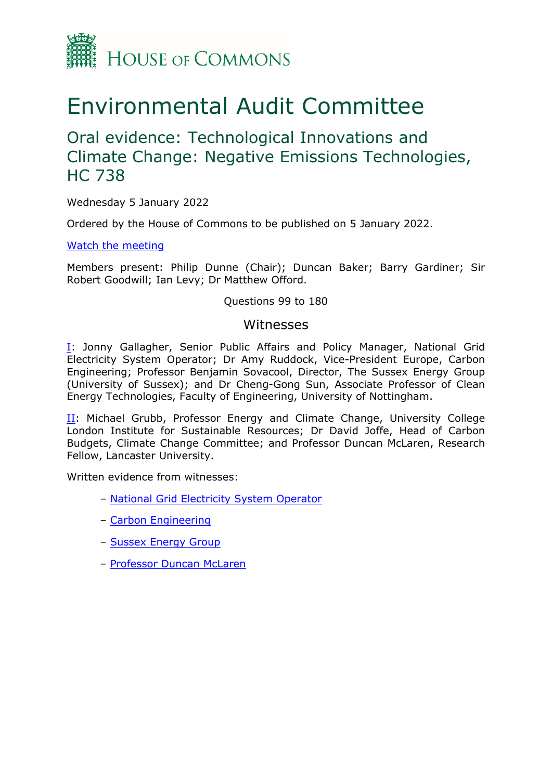

# Environmental Audit Committee

Oral evidence: Technological Innovations and Climate Change: Negative Emissions Technologies, HC 738

Wednesday 5 January 2022

Ordered by the House of Commons to be published on 5 January 2022.

[Watch](https://parliamentlive.tv/Event/Index/7304a909-37c1-4dfc-b840-1ef21d4e183a) [the](https://parliamentlive.tv/Event/Index/7304a909-37c1-4dfc-b840-1ef21d4e183a) [meeting](https://parliamentlive.tv/Event/Index/7304a909-37c1-4dfc-b840-1ef21d4e183a)

Members present: Philip Dunne (Chair); Duncan Baker; Barry Gardiner; Sir Robert Goodwill; Ian Levy; Dr Matthew Offord.

Questions 99 to 180

#### Witnesses

[I:](#page-1-0) Jonny Gallagher, Senior Public Affairs and Policy Manager, National Grid Electricity System Operator; Dr Amy Ruddock, Vice-President Europe, Carbon Engineering; Professor Benjamin Sovacool, Director, The Sussex Energy Group (University of Sussex); and Dr Cheng-Gong Sun, Associate Professor of Clean Energy Technologies, Faculty of Engineering, University of Nottingham.

II: Michael Grubb, Professor Energy and Climate Change, University College London Institute for Sustainable Resources; Dr David Joffe, Head of Carbon Budgets, Climate Change Committee; and Professor Duncan McLaren, Research Fellow, Lancaster University.

Written evidence from witnesses:

- [National](https://committees.parliament.uk/work/1536/technological-innovations-and-climate-change-negative-emissions-technologies/publications/written-evidence/?SearchTerm=grid&DateFrom=&DateTo=&SessionId=) [Grid](https://committees.parliament.uk/work/1536/technological-innovations-and-climate-change-negative-emissions-technologies/publications/written-evidence/?SearchTerm=grid&DateFrom=&DateTo=&SessionId=) [Electricity](https://committees.parliament.uk/work/1536/technological-innovations-and-climate-change-negative-emissions-technologies/publications/written-evidence/?SearchTerm=grid&DateFrom=&DateTo=&SessionId=) [System](https://committees.parliament.uk/work/1536/technological-innovations-and-climate-change-negative-emissions-technologies/publications/written-evidence/?SearchTerm=grid&DateFrom=&DateTo=&SessionId=) [Operator](https://committees.parliament.uk/work/1536/technological-innovations-and-climate-change-negative-emissions-technologies/publications/written-evidence/?SearchTerm=grid&DateFrom=&DateTo=&SessionId=)
- [Carbon](https://committees.parliament.uk/work/1536/technological-innovations-and-climate-change-negative-emissions-technologies/publications/written-evidence/?SearchTerm=Carbon+Engineering&DateFrom=&DateTo=&SessionId=) [Engineering](https://committees.parliament.uk/work/1536/technological-innovations-and-climate-change-negative-emissions-technologies/publications/written-evidence/?SearchTerm=Carbon+Engineering&DateFrom=&DateTo=&SessionId=)
- [Sussex](https://committees.parliament.uk/work/1536/technological-innovations-and-climate-change-negative-emissions-technologies/publications/written-evidence/?SearchTerm=Sussex&DateFrom=&DateTo=&SessionId=) [Energy](https://committees.parliament.uk/work/1536/technological-innovations-and-climate-change-negative-emissions-technologies/publications/written-evidence/?SearchTerm=Sussex&DateFrom=&DateTo=&SessionId=) [Group](https://committees.parliament.uk/work/1536/technological-innovations-and-climate-change-negative-emissions-technologies/publications/written-evidence/?SearchTerm=Sussex&DateFrom=&DateTo=&SessionId=)
- [Professor](https://committees.parliament.uk/work/1536/technological-innovations-and-climate-change-negative-emissions-technologies/publications/written-evidence/?SearchTerm=Lancaster&DateFrom=&DateTo=&SessionId=) [Duncan](https://committees.parliament.uk/work/1536/technological-innovations-and-climate-change-negative-emissions-technologies/publications/written-evidence/?SearchTerm=Lancaster&DateFrom=&DateTo=&SessionId=) [McLaren](https://committees.parliament.uk/work/1536/technological-innovations-and-climate-change-negative-emissions-technologies/publications/written-evidence/?SearchTerm=Lancaster&DateFrom=&DateTo=&SessionId=)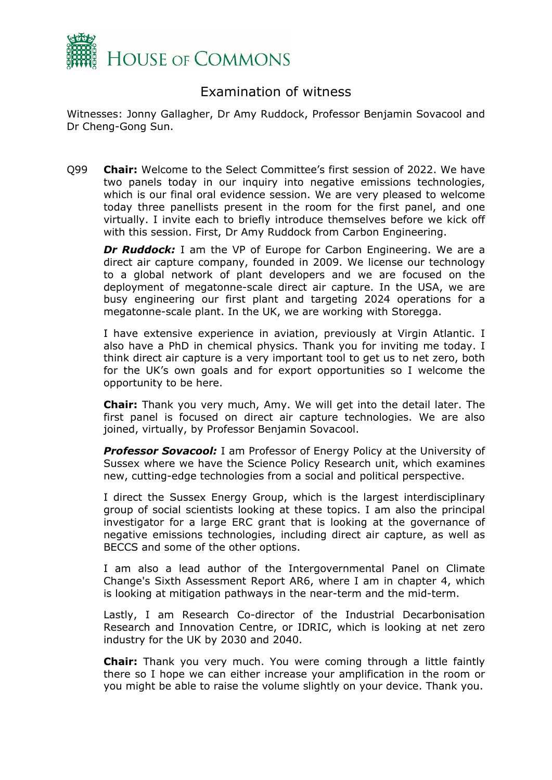

## <span id="page-1-0"></span>Examination of witness

Witnesses: Jonny Gallagher, Dr Amy Ruddock, Professor Benjamin Sovacool and Dr Cheng-Gong Sun.

Q99 **Chair:** Welcome to the Select Committee's first session of 2022. We have two panels today in our inquiry into negative emissions technologies, which is our final oral evidence session. We are very pleased to welcome today three panellists present in the room for the first panel, and one virtually. I invite each to briefly introduce themselves before we kick off with this session. First, Dr Amy Ruddock from Carbon Engineering.

*Dr Ruddock:* I am the VP of Europe for Carbon Engineering. We are a direct air capture company, founded in 2009. We license our technology to a global network of plant developers and we are focused on the deployment of megatonne-scale direct air capture. In the USA, we are busy engineering our first plant and targeting 2024 operations for a megatonne-scale plant. In the UK, we are working with Storegga.

I have extensive experience in aviation, previously at Virgin Atlantic. I also have a PhD in chemical physics. Thank you for inviting me today. I think direct air capture is a very important tool to get us to net zero, both for the UK's own goals and for export opportunities so I welcome the opportunity to be here.

**Chair:** Thank you very much, Amy. We will get into the detail later. The first panel is focused on direct air capture technologies. We are also joined, virtually, by Professor Benjamin Sovacool.

*Professor Sovacool:* I am Professor of Energy Policy at the University of Sussex where we have the Science Policy Research unit, which examines new, cutting-edge technologies from a social and political perspective.

I direct the Sussex Energy Group, which is the largest interdisciplinary group of social scientists looking at these topics. I am also the principal investigator for a large ERC grant that is looking at the governance of negative emissions technologies, including direct air capture, as well as BECCS and some of the other options.

I am also a lead author of the Intergovernmental Panel on Climate Change's Sixth Assessment Report AR6, where I am in chapter 4, which is looking at mitigation pathways in the near-term and the mid-term.

Lastly, I am Research Co-director of the Industrial Decarbonisation Research and Innovation Centre, or IDRIC, which is looking at net zero industry for the UK by 2030 and 2040.

**Chair:** Thank you very much. You were coming through a little faintly there so I hope we can either increase your amplification in the room or you might be able to raise the volume slightly on your device. Thank you.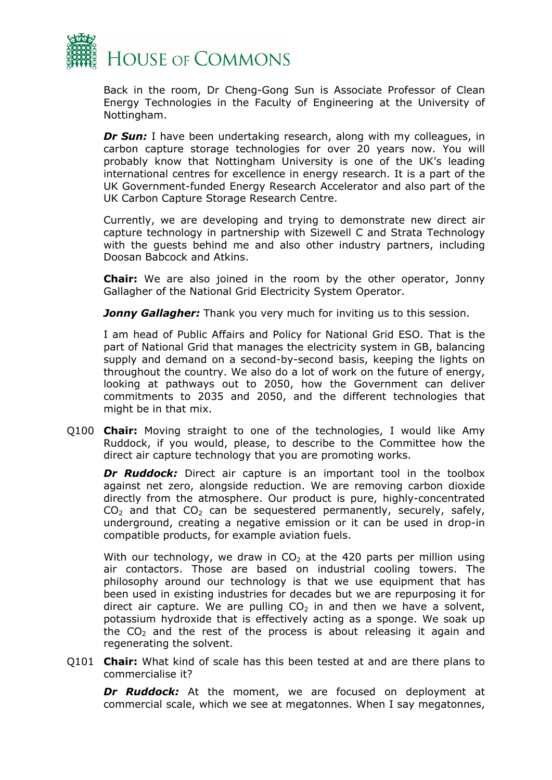

Back in the room, Dr Cheng-Gong Sun is Associate Professor of Clean Energy Technologies in the Faculty of Engineering at the University of Nottingham.

*Dr Sun:* I have been undertaking research, along with my colleagues, in carbon capture storage technologies for over 20 years now. You will probably know that Nottingham University is one of the UK's leading international centres for excellence in energy research. It is a part of the UK Government-funded Energy Research Accelerator and also part of the UK Carbon Capture Storage Research Centre.

Currently, we are developing and trying to demonstrate new direct air capture technology in partnership with Sizewell C and Strata Technology with the guests behind me and also other industry partners, including Doosan Babcock and Atkins.

**Chair:** We are also joined in the room by the other operator, Jonny Gallagher of the National Grid Electricity System Operator.

*Jonny Gallagher:* Thank you very much for inviting us to this session.

I am head of Public Affairs and Policy for National Grid ESO. That is the part of National Grid that manages the electricity system in GB, balancing supply and demand on a second-by-second basis, keeping the lights on throughout the country. We also do a lot of work on the future of energy, looking at pathways out to 2050, how the Government can deliver commitments to 2035 and 2050, and the different technologies that might be in that mix.

Q100 **Chair:** Moving straight to one of the technologies, I would like Amy Ruddock, if you would, please, to describe to the Committee how the direct air capture technology that you are promoting works.

*Dr Ruddock:* Direct air capture is an important tool in the toolbox against net zero, alongside reduction. We are removing carbon dioxide directly from the atmosphere. Our product is pure, highly-concentrated  $CO<sub>2</sub>$  and that  $CO<sub>2</sub>$  can be sequestered permanently, securely, safely, underground, creating a negative emission or it can be used in drop-in compatible products, for example aviation fuels.

With our technology, we draw in  $CO<sub>2</sub>$  at the 420 parts per million using air contactors. Those are based on industrial cooling towers. The philosophy around our technology is that we use equipment that has been used in existing industries for decades but we are repurposing it for direct air capture. We are pulling  $CO<sub>2</sub>$  in and then we have a solvent, potassium hydroxide that is effectively acting as a sponge. We soak up the  $CO<sub>2</sub>$  and the rest of the process is about releasing it again and regenerating the solvent.

Q101 **Chair:** What kind of scale has this been tested at and are there plans to commercialise it?

*Dr Ruddock:* At the moment, we are focused on deployment at commercial scale, which we see at megatonnes. When I say megatonnes,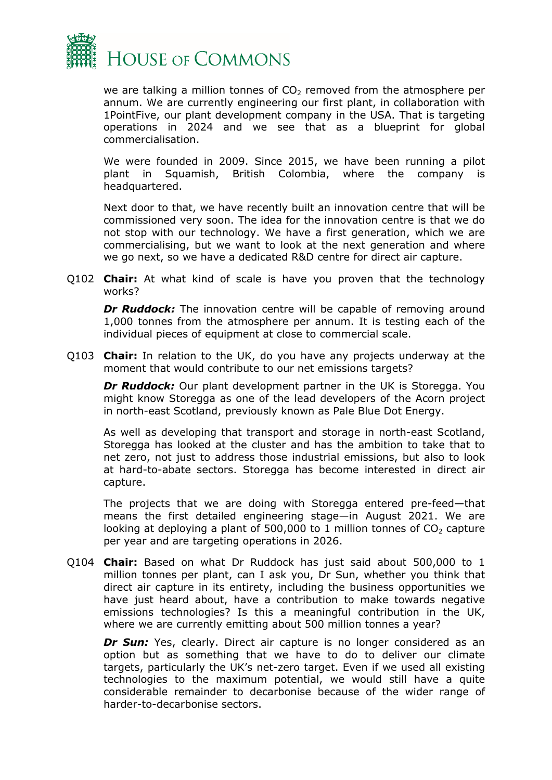

we are talking a million tonnes of  $CO<sub>2</sub>$  removed from the atmosphere per annum. We are currently engineering our first plant, in collaboration with 1PointFive, our plant development company in the USA. That is targeting operations in 2024 and we see that as a blueprint for global commercialisation.

We were founded in 2009. Since 2015, we have been running a pilot plant in Squamish, British Colombia, where the company is headquartered.

Next door to that, we have recently built an innovation centre that will be commissioned very soon. The idea for the innovation centre is that we do not stop with our technology. We have a first generation, which we are commercialising, but we want to look at the next generation and where we go next, so we have a dedicated R&D centre for direct air capture.

Q102 **Chair:** At what kind of scale is have you proven that the technology works?

**Dr Ruddock:** The innovation centre will be capable of removing around 1,000 tonnes from the atmosphere per annum. It is testing each of the individual pieces of equipment at close to commercial scale.

Q103 **Chair:** In relation to the UK, do you have any projects underway at the moment that would contribute to our net emissions targets?

*Dr Ruddock:* Our plant development partner in the UK is Storegga. You might know Storegga as one of the lead developers of the Acorn project in north-east Scotland, previously known as Pale Blue Dot Energy.

As well as developing that transport and storage in north-east Scotland, Storegga has looked at the cluster and has the ambition to take that to net zero, not just to address those industrial emissions, but also to look at hard-to-abate sectors. Storegga has become interested in direct air capture.

The projects that we are doing with Storegga entered pre-feed—that means the first detailed engineering stage—in August 2021. We are looking at deploying a plant of 500,000 to 1 million tonnes of  $CO<sub>2</sub>$  capture per year and are targeting operations in 2026.

Q104 **Chair:** Based on what Dr Ruddock has just said about 500,000 to 1 million tonnes per plant, can I ask you, Dr Sun, whether you think that direct air capture in its entirety, including the business opportunities we have just heard about, have a contribution to make towards negative emissions technologies? Is this a meaningful contribution in the UK, where we are currently emitting about 500 million tonnes a year?

**Dr Sun:** Yes, clearly. Direct air capture is no longer considered as an option but as something that we have to do to deliver our climate targets, particularly the UK's net-zero target. Even if we used all existing technologies to the maximum potential, we would still have a quite considerable remainder to decarbonise because of the wider range of harder-to-decarbonise sectors.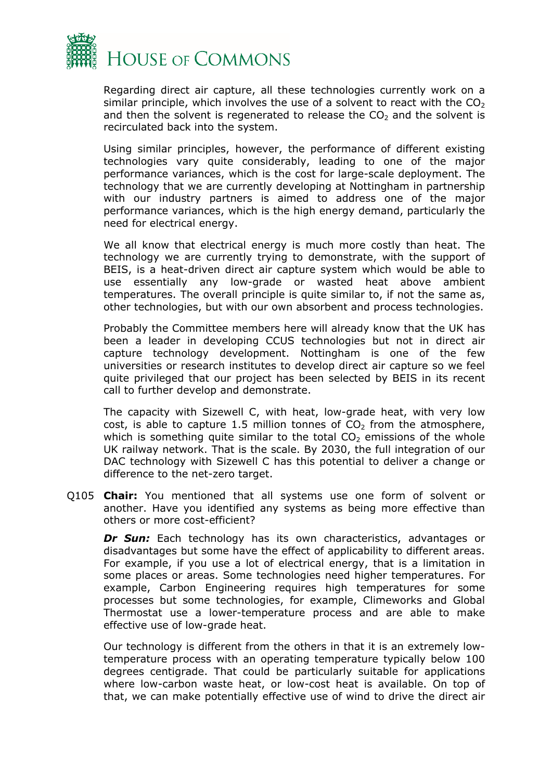

Regarding direct air capture, all these technologies currently work on a similar principle, which involves the use of a solvent to react with the  $CO<sub>2</sub>$ and then the solvent is regenerated to release the  $CO<sub>2</sub>$  and the solvent is recirculated back into the system.

Using similar principles, however, the performance of different existing technologies vary quite considerably, leading to one of the major performance variances, which is the cost for large-scale deployment. The technology that we are currently developing at Nottingham in partnership with our industry partners is aimed to address one of the major performance variances, which is the high energy demand, particularly the need for electrical energy.

We all know that electrical energy is much more costly than heat. The technology we are currently trying to demonstrate, with the support of BEIS, is a heat-driven direct air capture system which would be able to use essentially any low-grade or wasted heat above ambient temperatures. The overall principle is quite similar to, if not the same as, other technologies, but with our own absorbent and process technologies.

Probably the Committee members here will already know that the UK has been a leader in developing CCUS technologies but not in direct air capture technology development. Nottingham is one of the few universities or research institutes to develop direct air capture so we feel quite privileged that our project has been selected by BEIS in its recent call to further develop and demonstrate.

The capacity with Sizewell C, with heat, low-grade heat, with very low cost, is able to capture 1.5 million tonnes of  $CO<sub>2</sub>$  from the atmosphere, which is something quite similar to the total  $CO<sub>2</sub>$  emissions of the whole UK railway network. That is the scale. By 2030, the full integration of our DAC technology with Sizewell C has this potential to deliver a change or difference to the net-zero target.

Q105 **Chair:** You mentioned that all systems use one form of solvent or another. Have you identified any systems as being more effective than others or more cost-efficient?

**Dr Sun:** Each technology has its own characteristics, advantages or disadvantages but some have the effect of applicability to different areas. For example, if you use a lot of electrical energy, that is a limitation in some places or areas. Some technologies need higher temperatures. For example, Carbon Engineering requires high temperatures for some processes but some technologies, for example, Climeworks and Global Thermostat use a lower-temperature process and are able to make effective use of low-grade heat.

Our technology is different from the others in that it is an extremely lowtemperature process with an operating temperature typically below 100 degrees centigrade. That could be particularly suitable for applications where low-carbon waste heat, or low-cost heat is available. On top of that, we can make potentially effective use of wind to drive the direct air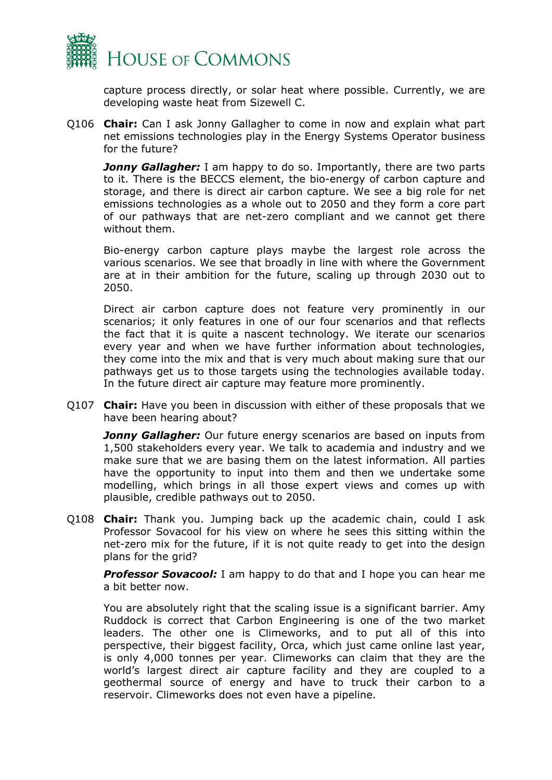

capture process directly, or solar heat where possible. Currently, we are developing waste heat from Sizewell C.

Q106 **Chair:** Can I ask Jonny Gallagher to come in now and explain what part net emissions technologies play in the Energy Systems Operator business for the future?

*Jonny Gallagher:* I am happy to do so. Importantly, there are two parts to it. There is the BECCS element, the bio-energy of carbon capture and storage, and there is direct air carbon capture. We see a big role for net emissions technologies as a whole out to 2050 and they form a core part of our pathways that are net-zero compliant and we cannot get there without them.

Bio-energy carbon capture plays maybe the largest role across the various scenarios. We see that broadly in line with where the Government are at in their ambition for the future, scaling up through 2030 out to 2050.

Direct air carbon capture does not feature very prominently in our scenarios; it only features in one of our four scenarios and that reflects the fact that it is quite a nascent technology. We iterate our scenarios every year and when we have further information about technologies, they come into the mix and that is very much about making sure that our pathways get us to those targets using the technologies available today. In the future direct air capture may feature more prominently.

Q107 **Chair:** Have you been in discussion with either of these proposals that we have been hearing about?

**Jonny Gallagher:** Our future energy scenarios are based on inputs from 1,500 stakeholders every year. We talk to academia and industry and we make sure that we are basing them on the latest information. All parties have the opportunity to input into them and then we undertake some modelling, which brings in all those expert views and comes up with plausible, credible pathways out to 2050.

Q108 **Chair:** Thank you. Jumping back up the academic chain, could I ask Professor Sovacool for his view on where he sees this sitting within the net-zero mix for the future, if it is not quite ready to get into the design plans for the grid?

*Professor Sovacool:* I am happy to do that and I hope you can hear me a bit better now.

You are absolutely right that the scaling issue is a significant barrier. Amy Ruddock is correct that Carbon Engineering is one of the two market leaders. The other one is Climeworks, and to put all of this into perspective, their biggest facility, Orca, which just came online last year, is only 4,000 tonnes per year. Climeworks can claim that they are the world's largest direct air capture facility and they are coupled to a geothermal source of energy and have to truck their carbon to a reservoir. Climeworks does not even have a pipeline.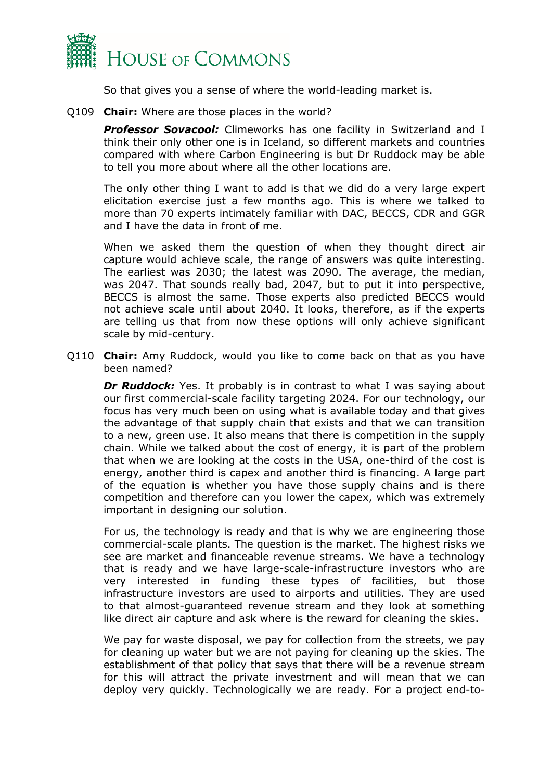

So that gives you a sense of where the world-leading market is.

Q109 **Chair:** Where are those places in the world?

**Professor Sovacool:** Climeworks has one facility in Switzerland and I think their only other one is in Iceland, so different markets and countries compared with where Carbon Engineering is but Dr Ruddock may be able to tell you more about where all the other locations are.

The only other thing I want to add is that we did do a very large expert elicitation exercise just a few months ago. This is where we talked to more than 70 experts intimately familiar with DAC, BECCS, CDR and GGR and I have the data in front of me.

When we asked them the question of when they thought direct air capture would achieve scale, the range of answers was quite interesting. The earliest was 2030; the latest was 2090. The average, the median, was 2047. That sounds really bad, 2047, but to put it into perspective, BECCS is almost the same. Those experts also predicted BECCS would not achieve scale until about 2040. It looks, therefore, as if the experts are telling us that from now these options will only achieve significant scale by mid-century.

Q110 **Chair:** Amy Ruddock, would you like to come back on that as you have been named?

**Dr Ruddock:** Yes. It probably is in contrast to what I was saying about our first commercial-scale facility targeting 2024. For our technology, our focus has very much been on using what is available today and that gives the advantage of that supply chain that exists and that we can transition to a new, green use. It also means that there is competition in the supply chain. While we talked about the cost of energy, it is part of the problem that when we are looking at the costs in the USA, one-third of the cost is energy, another third is capex and another third is financing. A large part of the equation is whether you have those supply chains and is there competition and therefore can you lower the capex, which was extremely important in designing our solution.

For us, the technology is ready and that is why we are engineering those commercial-scale plants. The question is the market. The highest risks we see are market and financeable revenue streams. We have a technology that is ready and we have large-scale-infrastructure investors who are very interested in funding these types of facilities, but those infrastructure investors are used to airports and utilities. They are used to that almost-guaranteed revenue stream and they look at something like direct air capture and ask where is the reward for cleaning the skies.

We pay for waste disposal, we pay for collection from the streets, we pay for cleaning up water but we are not paying for cleaning up the skies. The establishment of that policy that says that there will be a revenue stream for this will attract the private investment and will mean that we can deploy very quickly. Technologically we are ready. For a project end-to-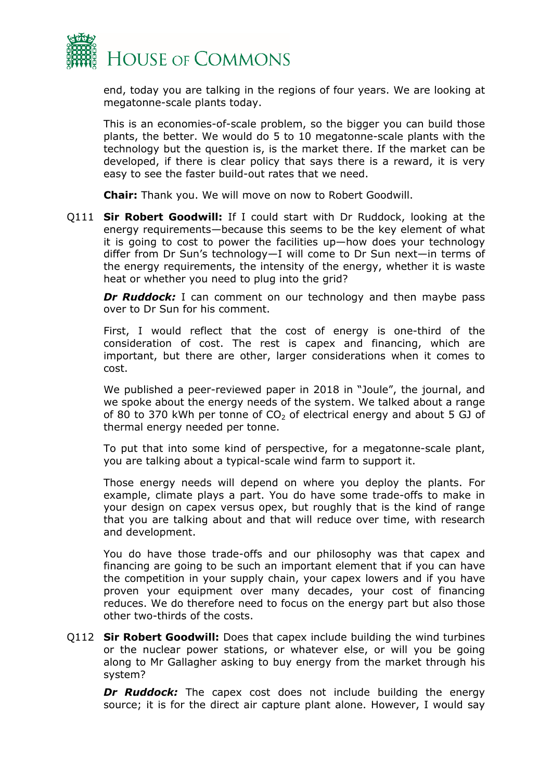

end, today you are talking in the regions of four years. We are looking at megatonne-scale plants today.

This is an economies-of-scale problem, so the bigger you can build those plants, the better. We would do 5 to 10 megatonne-scale plants with the technology but the question is, is the market there. If the market can be developed, if there is clear policy that says there is a reward, it is very easy to see the faster build-out rates that we need.

**Chair:** Thank you. We will move on now to Robert Goodwill.

Q111 **Sir Robert Goodwill:** If I could start with Dr Ruddock, looking at the energy requirements—because this seems to be the key element of what it is going to cost to power the facilities up—how does your technology differ from Dr Sun's technology—I will come to Dr Sun next—in terms of the energy requirements, the intensity of the energy, whether it is waste heat or whether you need to plug into the grid?

**Dr Ruddock:** I can comment on our technology and then maybe pass over to Dr Sun for his comment.

First, I would reflect that the cost of energy is one-third of the consideration of cost. The rest is capex and financing, which are important, but there are other, larger considerations when it comes to cost.

We published a peer-reviewed paper in 2018 in "Joule", the journal, and we spoke about the energy needs of the system. We talked about a range of 80 to 370 kWh per tonne of  $CO<sub>2</sub>$  of electrical energy and about 5 GJ of thermal energy needed per tonne.

To put that into some kind of perspective, for a megatonne-scale plant, you are talking about a typical-scale wind farm to support it.

Those energy needs will depend on where you deploy the plants. For example, climate plays a part. You do have some trade-offs to make in your design on capex versus opex, but roughly that is the kind of range that you are talking about and that will reduce over time, with research and development.

You do have those trade-offs and our philosophy was that capex and financing are going to be such an important element that if you can have the competition in your supply chain, your capex lowers and if you have proven your equipment over many decades, your cost of financing reduces. We do therefore need to focus on the energy part but also those other two-thirds of the costs.

Q112 **Sir Robert Goodwill:** Does that capex include building the wind turbines or the nuclear power stations, or whatever else, or will you be going along to Mr Gallagher asking to buy energy from the market through his system?

**Dr Ruddock:** The capex cost does not include building the energy source; it is for the direct air capture plant alone. However, I would say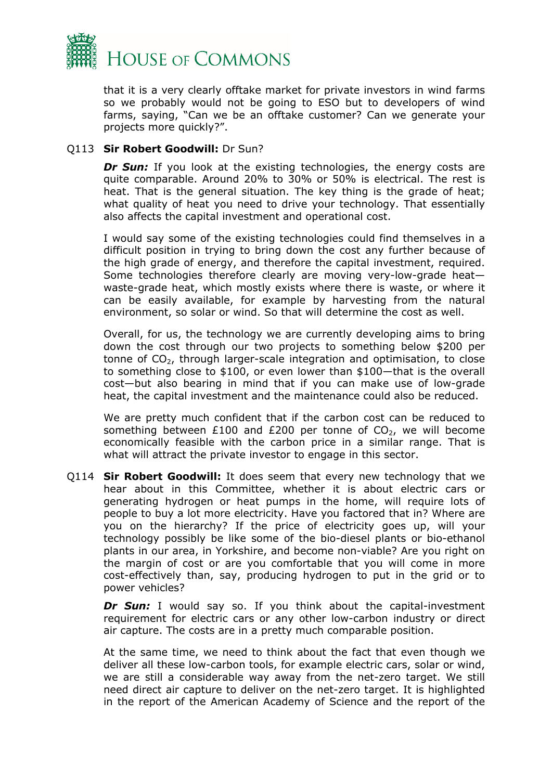

that it is a very clearly offtake market for private investors in wind farms so we probably would not be going to ESO but to developers of wind farms, saying, "Can we be an offtake customer? Can we generate your projects more quickly?".

#### Q113 **Sir Robert Goodwill:** Dr Sun?

*Dr Sun:* If you look at the existing technologies, the energy costs are quite comparable. Around 20% to 30% or 50% is electrical. The rest is heat. That is the general situation. The key thing is the grade of heat; what quality of heat you need to drive your technology. That essentially also affects the capital investment and operational cost.

I would say some of the existing technologies could find themselves in a difficult position in trying to bring down the cost any further because of the high grade of energy, and therefore the capital investment, required. Some technologies therefore clearly are moving very-low-grade heat waste-grade heat, which mostly exists where there is waste, or where it can be easily available, for example by harvesting from the natural environment, so solar or wind. So that will determine the cost as well.

Overall, for us, the technology we are currently developing aims to bring down the cost through our two projects to something below \$200 per tonne of  $CO<sub>2</sub>$ , through larger-scale integration and optimisation, to close to something close to \$100, or even lower than \$100—that is the overall cost—but also bearing in mind that if you can make use of low-grade heat, the capital investment and the maintenance could also be reduced.

We are pretty much confident that if the carbon cost can be reduced to something between £100 and £200 per tonne of  $CO<sub>2</sub>$ , we will become economically feasible with the carbon price in a similar range. That is what will attract the private investor to engage in this sector.

Q114 **Sir Robert Goodwill:** It does seem that every new technology that we hear about in this Committee, whether it is about electric cars or generating hydrogen or heat pumps in the home, will require lots of people to buy a lot more electricity. Have you factored that in? Where are you on the hierarchy? If the price of electricity goes up, will your technology possibly be like some of the bio-diesel plants or bio-ethanol plants in our area, in Yorkshire, and become non-viable? Are you right on the margin of cost or are you comfortable that you will come in more cost-effectively than, say, producing hydrogen to put in the grid or to power vehicles?

**Dr Sun:** I would say so. If you think about the capital-investment requirement for electric cars or any other low-carbon industry or direct air capture. The costs are in a pretty much comparable position.

At the same time, we need to think about the fact that even though we deliver all these low-carbon tools, for example electric cars, solar or wind, we are still a considerable way away from the net-zero target. We still need direct air capture to deliver on the net-zero target. It is highlighted in the report of the American Academy of Science and the report of the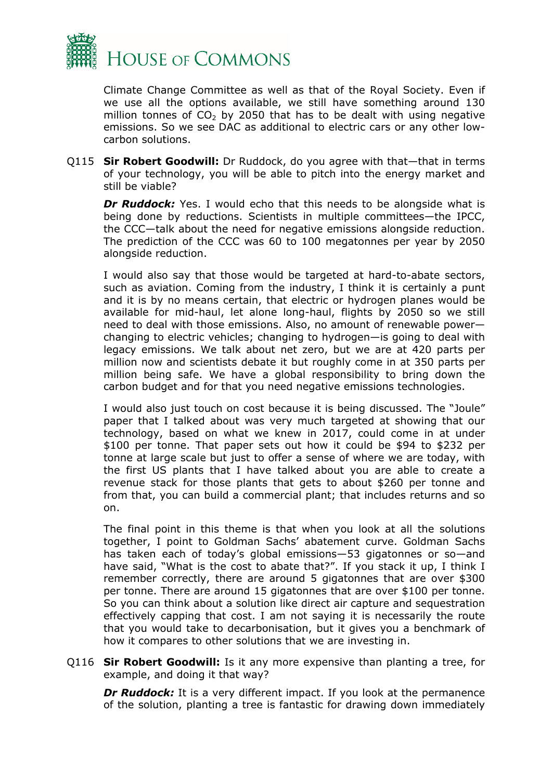

Climate Change Committee as well as that of the Royal Society. Even if we use all the options available, we still have something around 130 million tonnes of  $CO<sub>2</sub>$  by 2050 that has to be dealt with using negative emissions. So we see DAC as additional to electric cars or any other lowcarbon solutions.

Q115 **Sir Robert Goodwill:** Dr Ruddock, do you agree with that—that in terms of your technology, you will be able to pitch into the energy market and still be viable?

**Dr Ruddock:** Yes. I would echo that this needs to be alongside what is being done by reductions. Scientists in multiple committees—the IPCC, the CCC—talk about the need for negative emissions alongside reduction. The prediction of the CCC was 60 to 100 megatonnes per year by 2050 alongside reduction.

I would also say that those would be targeted at hard-to-abate sectors, such as aviation. Coming from the industry, I think it is certainly a punt and it is by no means certain, that electric or hydrogen planes would be available for mid-haul, let alone long-haul, flights by 2050 so we still need to deal with those emissions. Also, no amount of renewable power changing to electric vehicles; changing to hydrogen—is going to deal with legacy emissions. We talk about net zero, but we are at 420 parts per million now and scientists debate it but roughly come in at 350 parts per million being safe. We have a global responsibility to bring down the carbon budget and for that you need negative emissions technologies.

I would also just touch on cost because it is being discussed. The "Joule" paper that I talked about was very much targeted at showing that our technology, based on what we knew in 2017, could come in at under \$100 per tonne. That paper sets out how it could be \$94 to \$232 per tonne at large scale but just to offer a sense of where we are today, with the first US plants that I have talked about you are able to create a revenue stack for those plants that gets to about \$260 per tonne and from that, you can build a commercial plant; that includes returns and so on.

The final point in this theme is that when you look at all the solutions together, I point to Goldman Sachs' abatement curve. Goldman Sachs has taken each of today's global emissions—53 gigatonnes or so—and have said, "What is the cost to abate that?". If you stack it up, I think I remember correctly, there are around 5 gigatonnes that are over \$300 per tonne. There are around 15 gigatonnes that are over \$100 per tonne. So you can think about a solution like direct air capture and sequestration effectively capping that cost. I am not saying it is necessarily the route that you would take to decarbonisation, but it gives you a benchmark of how it compares to other solutions that we are investing in.

Q116 **Sir Robert Goodwill:** Is it any more expensive than planting a tree, for example, and doing it that way?

*Dr Ruddock:* It is a very different impact. If you look at the permanence of the solution, planting a tree is fantastic for drawing down immediately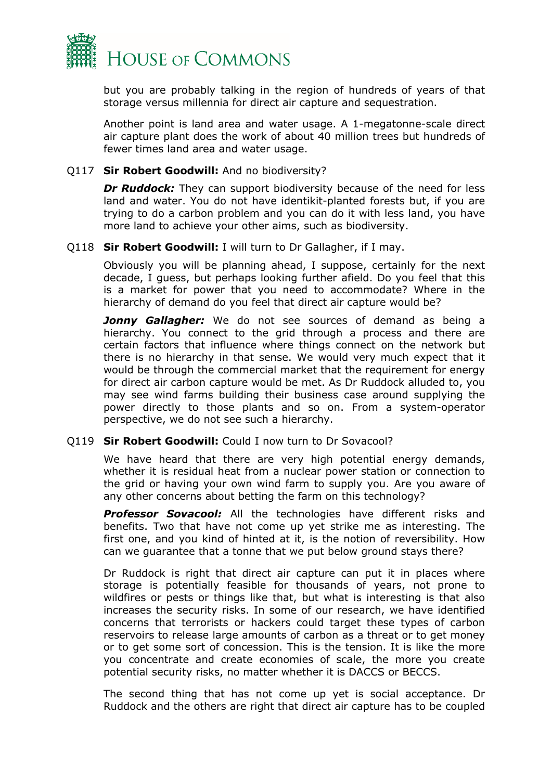

but you are probably talking in the region of hundreds of years of that storage versus millennia for direct air capture and sequestration.

Another point is land area and water usage. A 1-megatonne-scale direct air capture plant does the work of about 40 million trees but hundreds of fewer times land area and water usage.

#### Q117 **Sir Robert Goodwill:** And no biodiversity?

*Dr Ruddock:* They can support biodiversity because of the need for less land and water. You do not have identikit-planted forests but, if you are trying to do a carbon problem and you can do it with less land, you have more land to achieve your other aims, such as biodiversity.

#### Q118 **Sir Robert Goodwill:** I will turn to Dr Gallagher, if I may.

Obviously you will be planning ahead, I suppose, certainly for the next decade, I guess, but perhaps looking further afield. Do you feel that this is a market for power that you need to accommodate? Where in the hierarchy of demand do you feel that direct air capture would be?

*Jonny Gallagher:* We do not see sources of demand as being a hierarchy. You connect to the grid through a process and there are certain factors that influence where things connect on the network but there is no hierarchy in that sense. We would very much expect that it would be through the commercial market that the requirement for energy for direct air carbon capture would be met. As Dr Ruddock alluded to, you may see wind farms building their business case around supplying the power directly to those plants and so on. From a system-operator perspective, we do not see such a hierarchy.

#### Q119 **Sir Robert Goodwill:** Could I now turn to Dr Sovacool?

We have heard that there are very high potential energy demands, whether it is residual heat from a nuclear power station or connection to the grid or having your own wind farm to supply you. Are you aware of any other concerns about betting the farm on this technology?

*Professor Sovacool:* All the technologies have different risks and benefits. Two that have not come up yet strike me as interesting. The first one, and you kind of hinted at it, is the notion of reversibility. How can we guarantee that a tonne that we put below ground stays there?

Dr Ruddock is right that direct air capture can put it in places where storage is potentially feasible for thousands of years, not prone to wildfires or pests or things like that, but what is interesting is that also increases the security risks. In some of our research, we have identified concerns that terrorists or hackers could target these types of carbon reservoirs to release large amounts of carbon as a threat or to get money or to get some sort of concession. This is the tension. It is like the more you concentrate and create economies of scale, the more you create potential security risks, no matter whether it is DACCS or BECCS.

The second thing that has not come up yet is social acceptance. Dr Ruddock and the others are right that direct air capture has to be coupled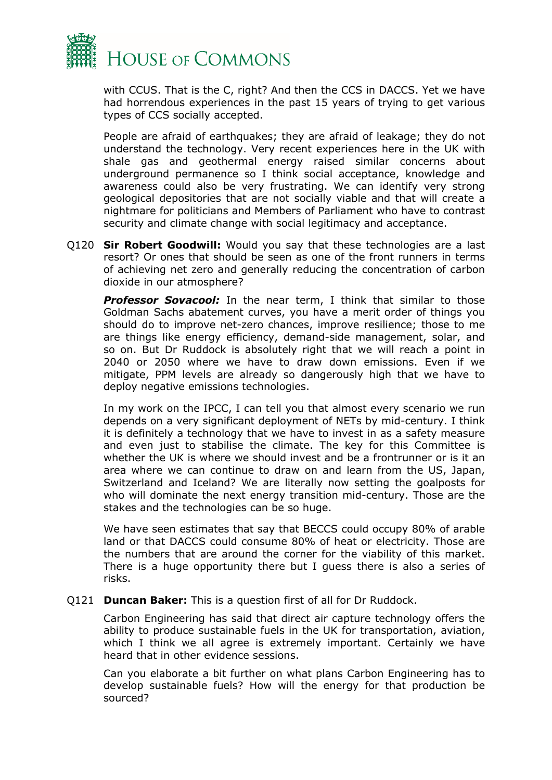

with CCUS. That is the C, right? And then the CCS in DACCS. Yet we have had horrendous experiences in the past 15 years of trying to get various types of CCS socially accepted.

People are afraid of earthquakes; they are afraid of leakage; they do not understand the technology. Very recent experiences here in the UK with shale gas and geothermal energy raised similar concerns about underground permanence so I think social acceptance, knowledge and awareness could also be very frustrating. We can identify very strong geological depositories that are not socially viable and that will create a nightmare for politicians and Members of Parliament who have to contrast security and climate change with social legitimacy and acceptance.

Q120 **Sir Robert Goodwill:** Would you say that these technologies are a last resort? Or ones that should be seen as one of the front runners in terms of achieving net zero and generally reducing the concentration of carbon dioxide in our atmosphere?

**Professor Sovacool:** In the near term, I think that similar to those Goldman Sachs abatement curves, you have a merit order of things you should do to improve net-zero chances, improve resilience; those to me are things like energy efficiency, demand-side management, solar, and so on. But Dr Ruddock is absolutely right that we will reach a point in 2040 or 2050 where we have to draw down emissions. Even if we mitigate, PPM levels are already so dangerously high that we have to deploy negative emissions technologies.

In my work on the IPCC, I can tell you that almost every scenario we run depends on a very significant deployment of NETs by mid-century. I think it is definitely a technology that we have to invest in as a safety measure and even just to stabilise the climate. The key for this Committee is whether the UK is where we should invest and be a frontrunner or is it an area where we can continue to draw on and learn from the US, Japan, Switzerland and Iceland? We are literally now setting the goalposts for who will dominate the next energy transition mid-century. Those are the stakes and the technologies can be so huge.

We have seen estimates that say that BECCS could occupy 80% of arable land or that DACCS could consume 80% of heat or electricity. Those are the numbers that are around the corner for the viability of this market. There is a huge opportunity there but I guess there is also a series of risks.

Q121 **Duncan Baker:** This is a question first of all for Dr Ruddock.

Carbon Engineering has said that direct air capture technology offers the ability to produce sustainable fuels in the UK for transportation, aviation, which I think we all agree is extremely important. Certainly we have heard that in other evidence sessions.

Can you elaborate a bit further on what plans Carbon Engineering has to develop sustainable fuels? How will the energy for that production be sourced?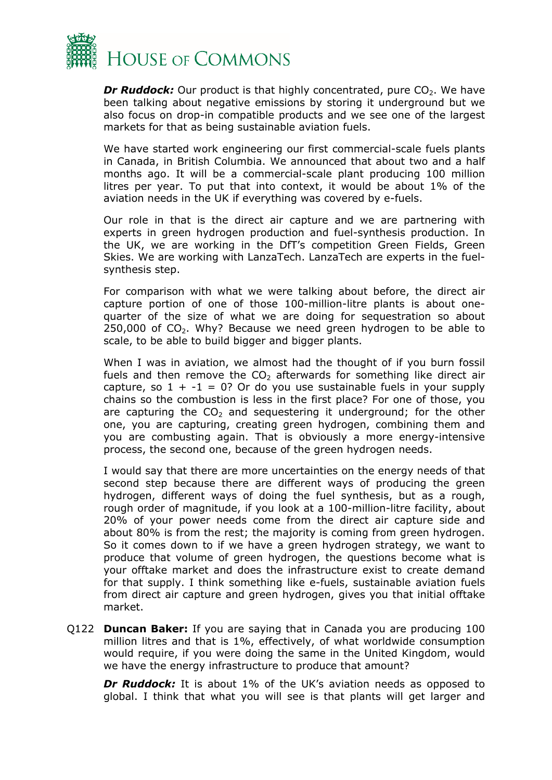

*Dr Ruddock:* Our product is that highly concentrated, pure CO<sub>2</sub>. We have been talking about negative emissions by storing it underground but we also focus on drop-in compatible products and we see one of the largest markets for that as being sustainable aviation fuels.

We have started work engineering our first commercial-scale fuels plants in Canada, in British Columbia. We announced that about two and a half months ago. It will be a commercial-scale plant producing 100 million litres per year. To put that into context, it would be about 1% of the aviation needs in the UK if everything was covered by e-fuels.

Our role in that is the direct air capture and we are partnering with experts in green hydrogen production and fuel-synthesis production. In the UK, we are working in the DfT's competition Green Fields, Green Skies. We are working with LanzaTech. LanzaTech are experts in the fuelsynthesis step.

For comparison with what we were talking about before, the direct air capture portion of one of those 100-million-litre plants is about onequarter of the size of what we are doing for sequestration so about  $250,000$  of  $CO<sub>2</sub>$ . Why? Because we need green hydrogen to be able to scale, to be able to build bigger and bigger plants.

When I was in aviation, we almost had the thought of if you burn fossil fuels and then remove the  $CO<sub>2</sub>$  afterwards for something like direct air capture, so  $1 + -1 = 0$ ? Or do you use sustainable fuels in your supply chains so the combustion is less in the first place? For one of those, you are capturing the  $CO<sub>2</sub>$  and sequestering it underground; for the other one, you are capturing, creating green hydrogen, combining them and you are combusting again. That is obviously a more energy-intensive process, the second one, because of the green hydrogen needs.

I would say that there are more uncertainties on the energy needs of that second step because there are different ways of producing the green hydrogen, different ways of doing the fuel synthesis, but as a rough, rough order of magnitude, if you look at a 100-million-litre facility, about 20% of your power needs come from the direct air capture side and about 80% is from the rest; the majority is coming from green hydrogen. So it comes down to if we have a green hydrogen strategy, we want to produce that volume of green hydrogen, the questions become what is your offtake market and does the infrastructure exist to create demand for that supply. I think something like e-fuels, sustainable aviation fuels from direct air capture and green hydrogen, gives you that initial offtake market.

Q122 **Duncan Baker:** If you are saying that in Canada you are producing 100 million litres and that is 1%, effectively, of what worldwide consumption would require, if you were doing the same in the United Kingdom, would we have the energy infrastructure to produce that amount?

**Dr Ruddock:** It is about 1% of the UK's aviation needs as opposed to global. I think that what you will see is that plants will get larger and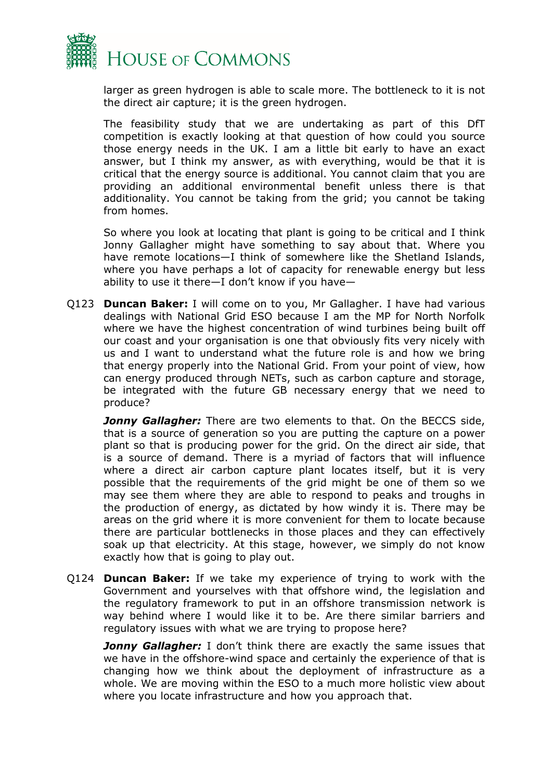

larger as green hydrogen is able to scale more. The bottleneck to it is not the direct air capture; it is the green hydrogen.

The feasibility study that we are undertaking as part of this DfT competition is exactly looking at that question of how could you source those energy needs in the UK. I am a little bit early to have an exact answer, but I think my answer, as with everything, would be that it is critical that the energy source is additional. You cannot claim that you are providing an additional environmental benefit unless there is that additionality. You cannot be taking from the grid; you cannot be taking from homes.

So where you look at locating that plant is going to be critical and I think Jonny Gallagher might have something to say about that. Where you have remote locations—I think of somewhere like the Shetland Islands, where you have perhaps a lot of capacity for renewable energy but less ability to use it there—I don't know if you have—

Q123 **Duncan Baker:** I will come on to you, Mr Gallagher. I have had various dealings with National Grid ESO because I am the MP for North Norfolk where we have the highest concentration of wind turbines being built off our coast and your organisation is one that obviously fits very nicely with us and I want to understand what the future role is and how we bring that energy properly into the National Grid. From your point of view, how can energy produced through NETs, such as carbon capture and storage, be integrated with the future GB necessary energy that we need to produce?

*Jonny Gallagher:* There are two elements to that. On the BECCS side, that is a source of generation so you are putting the capture on a power plant so that is producing power for the grid. On the direct air side, that is a source of demand. There is a myriad of factors that will influence where a direct air carbon capture plant locates itself, but it is very possible that the requirements of the grid might be one of them so we may see them where they are able to respond to peaks and troughs in the production of energy, as dictated by how windy it is. There may be areas on the grid where it is more convenient for them to locate because there are particular bottlenecks in those places and they can effectively soak up that electricity. At this stage, however, we simply do not know exactly how that is going to play out.

Q124 **Duncan Baker:** If we take my experience of trying to work with the Government and yourselves with that offshore wind, the legislation and the regulatory framework to put in an offshore transmission network is way behind where I would like it to be. Are there similar barriers and regulatory issues with what we are trying to propose here?

*Jonny Gallagher:* I don't think there are exactly the same issues that we have in the offshore-wind space and certainly the experience of that is changing how we think about the deployment of infrastructure as a whole. We are moving within the ESO to a much more holistic view about where you locate infrastructure and how you approach that.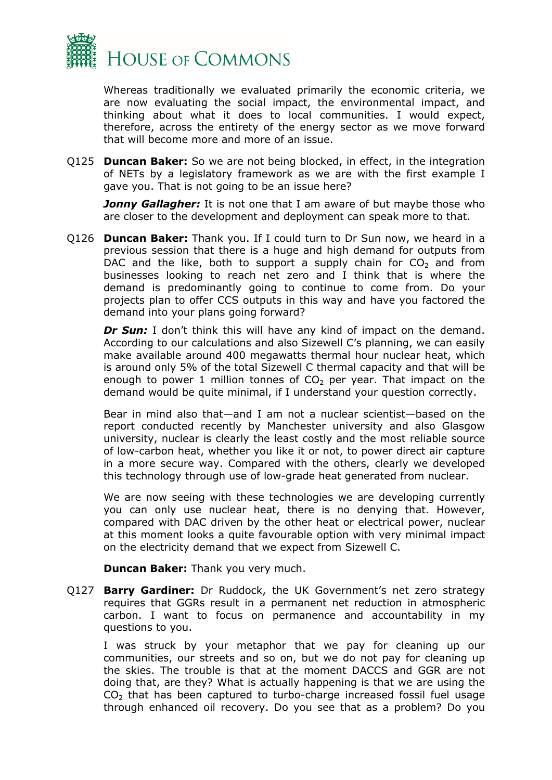

Whereas traditionally we evaluated primarily the economic criteria, we are now evaluating the social impact, the environmental impact, and thinking about what it does to local communities. I would expect, therefore, across the entirety of the energy sector as we move forward that will become more and more of an issue.

Q125 **Duncan Baker:** So we are not being blocked, in effect, in the integration of NETs by a legislatory framework as we are with the first example I gave you. That is not going to be an issue here?

*Jonny Gallagher:* It is not one that I am aware of but maybe those who are closer to the development and deployment can speak more to that.

Q126 **Duncan Baker:** Thank you. If I could turn to Dr Sun now, we heard in a previous session that there is a huge and high demand for outputs from DAC and the like, both to support a supply chain for  $CO<sub>2</sub>$  and from businesses looking to reach net zero and I think that is where the demand is predominantly going to continue to come from. Do your projects plan to offer CCS outputs in this way and have you factored the demand into your plans going forward?

**Dr Sun:** I don't think this will have any kind of impact on the demand. According to our calculations and also Sizewell C's planning, we can easily make available around 400 megawatts thermal hour nuclear heat, which is around only 5% of the total Sizewell C thermal capacity and that will be enough to power 1 million tonnes of  $CO<sub>2</sub>$  per year. That impact on the demand would be quite minimal, if I understand your question correctly.

Bear in mind also that—and I am not a nuclear scientist—based on the report conducted recently by Manchester university and also Glasgow university, nuclear is clearly the least costly and the most reliable source of low-carbon heat, whether you like it or not, to power direct air capture in a more secure way. Compared with the others, clearly we developed this technology through use of low-grade heat generated from nuclear.

We are now seeing with these technologies we are developing currently you can only use nuclear heat, there is no denying that. However, compared with DAC driven by the other heat or electrical power, nuclear at this moment looks a quite favourable option with very minimal impact on the electricity demand that we expect from Sizewell C.

**Duncan Baker:** Thank you very much.

Q127 **Barry Gardiner:** Dr Ruddock, the UK Government's net zero strategy requires that GGRs result in a permanent net reduction in atmospheric carbon. I want to focus on permanence and accountability in my questions to you.

I was struck by your metaphor that we pay for cleaning up our communities, our streets and so on, but we do not pay for cleaning up the skies. The trouble is that at the moment DACCS and GGR are not doing that, are they? What is actually happening is that we are using the  $CO<sub>2</sub>$  that has been captured to turbo-charge increased fossil fuel usage through enhanced oil recovery. Do you see that as a problem? Do you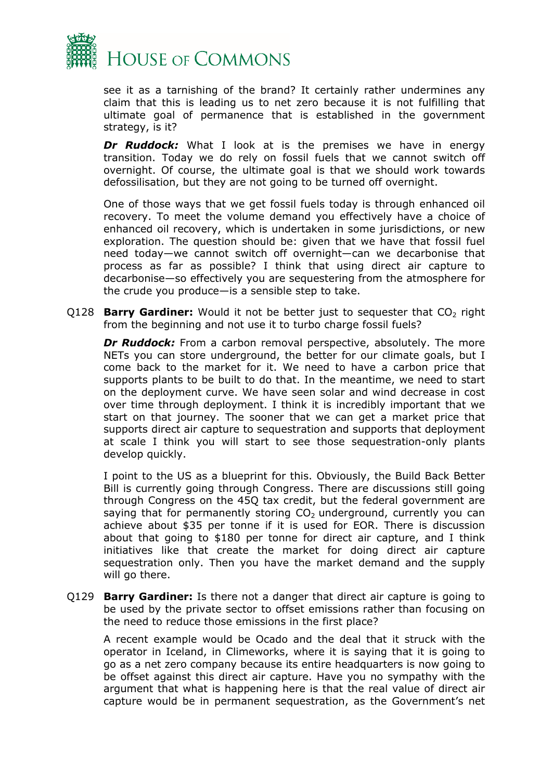

see it as a tarnishing of the brand? It certainly rather undermines any claim that this is leading us to net zero because it is not fulfilling that ultimate goal of permanence that is established in the government strategy, is it?

**Dr Ruddock:** What I look at is the premises we have in energy transition. Today we do rely on fossil fuels that we cannot switch off overnight. Of course, the ultimate goal is that we should work towards defossilisation, but they are not going to be turned off overnight.

One of those ways that we get fossil fuels today is through enhanced oil recovery. To meet the volume demand you effectively have a choice of enhanced oil recovery, which is undertaken in some jurisdictions, or new exploration. The question should be: given that we have that fossil fuel need today—we cannot switch off overnight—can we decarbonise that process as far as possible? I think that using direct air capture to decarbonise—so effectively you are sequestering from the atmosphere for the crude you produce—is a sensible step to take.

Q128 **Barry Gardiner:** Would it not be better just to sequester that CO<sub>2</sub> right from the beginning and not use it to turbo charge fossil fuels?

*Dr Ruddock:* From a carbon removal perspective, absolutely. The more NETs you can store underground, the better for our climate goals, but I come back to the market for it. We need to have a carbon price that supports plants to be built to do that. In the meantime, we need to start on the deployment curve. We have seen solar and wind decrease in cost over time through deployment. I think it is incredibly important that we start on that journey. The sooner that we can get a market price that supports direct air capture to sequestration and supports that deployment at scale I think you will start to see those sequestration-only plants develop quickly.

I point to the US as a blueprint for this. Obviously, the Build Back Better Bill is currently going through Congress. There are discussions still going through Congress on the 45Q tax credit, but the federal government are saying that for permanently storing  $CO<sub>2</sub>$  underground, currently you can achieve about \$35 per tonne if it is used for EOR. There is discussion about that going to \$180 per tonne for direct air capture, and I think initiatives like that create the market for doing direct air capture sequestration only. Then you have the market demand and the supply will go there.

Q129 **Barry Gardiner:** Is there not a danger that direct air capture is going to be used by the private sector to offset emissions rather than focusing on the need to reduce those emissions in the first place?

A recent example would be Ocado and the deal that it struck with the operator in Iceland, in Climeworks, where it is saying that it is going to go as a net zero company because its entire headquarters is now going to be offset against this direct air capture. Have you no sympathy with the argument that what is happening here is that the real value of direct air capture would be in permanent sequestration, as the Government's net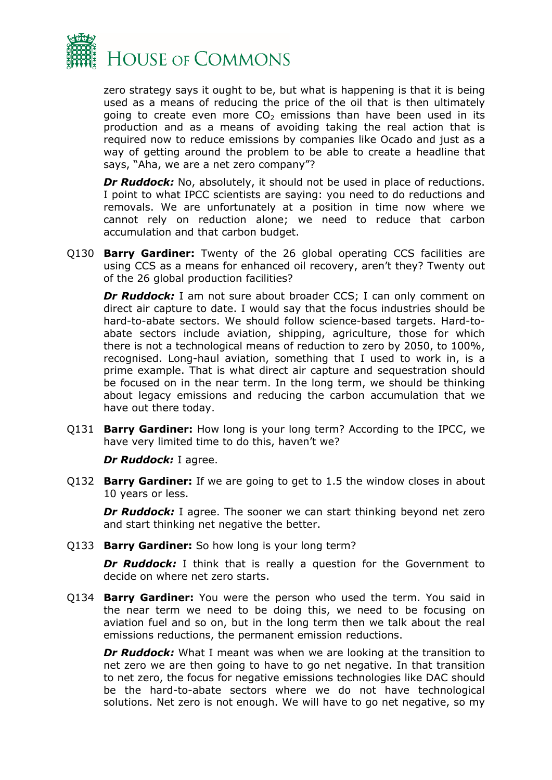

zero strategy says it ought to be, but what is happening is that it is being used as a means of reducing the price of the oil that is then ultimately going to create even more  $CO<sub>2</sub>$  emissions than have been used in its production and as a means of avoiding taking the real action that is required now to reduce emissions by companies like Ocado and just as a way of getting around the problem to be able to create a headline that says, "Aha, we are a net zero company"?

**Dr Ruddock:** No, absolutely, it should not be used in place of reductions. I point to what IPCC scientists are saying: you need to do reductions and removals. We are unfortunately at a position in time now where we cannot rely on reduction alone; we need to reduce that carbon accumulation and that carbon budget.

Q130 **Barry Gardiner:** Twenty of the 26 global operating CCS facilities are using CCS as a means for enhanced oil recovery, aren't they? Twenty out of the 26 global production facilities?

**Dr Ruddock:** I am not sure about broader CCS; I can only comment on direct air capture to date. I would say that the focus industries should be hard-to-abate sectors. We should follow science-based targets. Hard-toabate sectors include aviation, shipping, agriculture, those for which there is not a technological means of reduction to zero by 2050, to 100%, recognised. Long-haul aviation, something that I used to work in, is a prime example. That is what direct air capture and sequestration should be focused on in the near term. In the long term, we should be thinking about legacy emissions and reducing the carbon accumulation that we have out there today.

Q131 **Barry Gardiner:** How long is your long term? According to the IPCC, we have very limited time to do this, haven't we?

*Dr Ruddock:* I agree.

Q132 **Barry Gardiner:** If we are going to get to 1.5 the window closes in about 10 years or less.

*Dr Ruddock:* I agree. The sooner we can start thinking beyond net zero and start thinking net negative the better.

Q133 **Barry Gardiner:** So how long is your long term?

**Dr Ruddock:** I think that is really a question for the Government to decide on where net zero starts.

Q134 **Barry Gardiner:** You were the person who used the term. You said in the near term we need to be doing this, we need to be focusing on aviation fuel and so on, but in the long term then we talk about the real emissions reductions, the permanent emission reductions.

*Dr Ruddock:* What I meant was when we are looking at the transition to net zero we are then going to have to go net negative. In that transition to net zero, the focus for negative emissions technologies like DAC should be the hard-to-abate sectors where we do not have technological solutions. Net zero is not enough. We will have to go net negative, so my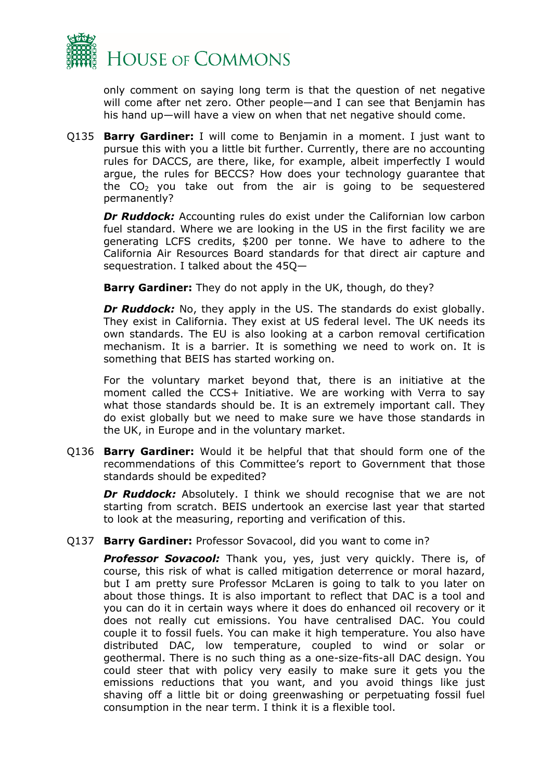

only comment on saying long term is that the question of net negative will come after net zero. Other people—and I can see that Benjamin has his hand up—will have a view on when that net negative should come.

Q135 **Barry Gardiner:** I will come to Benjamin in a moment. I just want to pursue this with you a little bit further. Currently, there are no accounting rules for DACCS, are there, like, for example, albeit imperfectly I would argue, the rules for BECCS? How does your technology guarantee that the  $CO<sub>2</sub>$  you take out from the air is going to be sequestered permanently?

**Dr Ruddock:** Accounting rules do exist under the Californian low carbon fuel standard. Where we are looking in the US in the first facility we are generating LCFS credits, \$200 per tonne. We have to adhere to the California Air Resources Board standards for that direct air capture and sequestration. I talked about the 45Q—

**Barry Gardiner:** They do not apply in the UK, though, do they?

*Dr Ruddock:* No, they apply in the US. The standards do exist globally. They exist in California. They exist at US federal level. The UK needs its own standards. The EU is also looking at a carbon removal certification mechanism. It is a barrier. It is something we need to work on. It is something that BEIS has started working on.

For the voluntary market beyond that, there is an initiative at the moment called the CCS+ Initiative. We are working with Verra to say what those standards should be. It is an extremely important call. They do exist globally but we need to make sure we have those standards in the UK, in Europe and in the voluntary market.

Q136 **Barry Gardiner:** Would it be helpful that that should form one of the recommendations of this Committee's report to Government that those standards should be expedited?

**Dr Ruddock:** Absolutely. I think we should recognise that we are not starting from scratch. BEIS undertook an exercise last year that started to look at the measuring, reporting and verification of this.

Q137 **Barry Gardiner:** Professor Sovacool, did you want to come in?

*Professor Sovacool:* Thank you, yes, just very quickly. There is, of course, this risk of what is called mitigation deterrence or moral hazard, but I am pretty sure Professor McLaren is going to talk to you later on about those things. It is also important to reflect that DAC is a tool and you can do it in certain ways where it does do enhanced oil recovery or it does not really cut emissions. You have centralised DAC. You could couple it to fossil fuels. You can make it high temperature. You also have distributed DAC, low temperature, coupled to wind or solar or geothermal. There is no such thing as a one-size-fits-all DAC design. You could steer that with policy very easily to make sure it gets you the emissions reductions that you want, and you avoid things like just shaving off a little bit or doing greenwashing or perpetuating fossil fuel consumption in the near term. I think it is a flexible tool.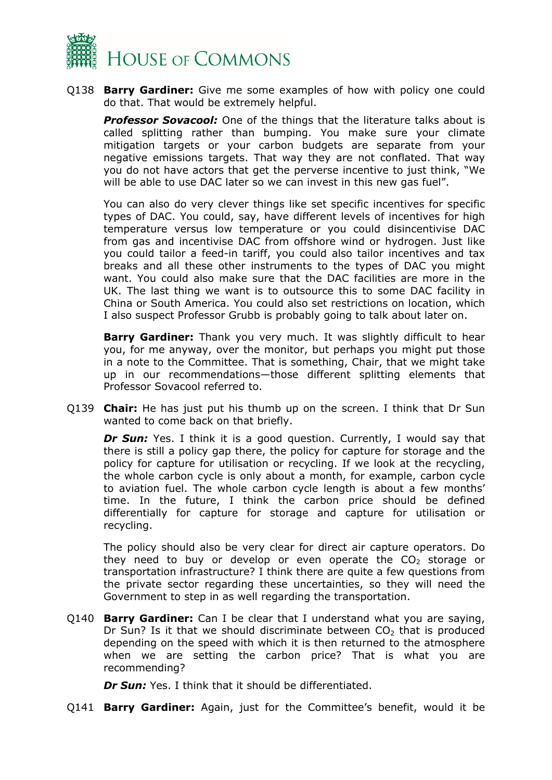

Q138 **Barry Gardiner:** Give me some examples of how with policy one could do that. That would be extremely helpful.

*Professor Sovacool:* One of the things that the literature talks about is called splitting rather than bumping. You make sure your climate mitigation targets or your carbon budgets are separate from your negative emissions targets. That way they are not conflated. That way you do not have actors that get the perverse incentive to just think, "We will be able to use DAC later so we can invest in this new gas fuel".

You can also do very clever things like set specific incentives for specific types of DAC. You could, say, have different levels of incentives for high temperature versus low temperature or you could disincentivise DAC from gas and incentivise DAC from offshore wind or hydrogen. Just like you could tailor a feed-in tariff, you could also tailor incentives and tax breaks and all these other instruments to the types of DAC you might want. You could also make sure that the DAC facilities are more in the UK. The last thing we want is to outsource this to some DAC facility in China or South America. You could also set restrictions on location, which I also suspect Professor Grubb is probably going to talk about later on.

**Barry Gardiner:** Thank you very much. It was slightly difficult to hear you, for me anyway, over the monitor, but perhaps you might put those in a note to the Committee. That is something, Chair, that we might take up in our recommendations—those different splitting elements that Professor Sovacool referred to.

Q139 **Chair:** He has just put his thumb up on the screen. I think that Dr Sun wanted to come back on that briefly.

**Dr Sun:** Yes. I think it is a good question. Currently, I would say that there is still a policy gap there, the policy for capture for storage and the policy for capture for utilisation or recycling. If we look at the recycling, the whole carbon cycle is only about a month, for example, carbon cycle to aviation fuel. The whole carbon cycle length is about a few months' time. In the future, I think the carbon price should be defined differentially for capture for storage and capture for utilisation or recycling.

The policy should also be very clear for direct air capture operators. Do they need to buy or develop or even operate the  $CO<sub>2</sub>$  storage or transportation infrastructure? I think there are quite a few questions from the private sector regarding these uncertainties, so they will need the Government to step in as well regarding the transportation.

Q140 **Barry Gardiner:** Can I be clear that I understand what you are saying, Dr Sun? Is it that we should discriminate between  $CO<sub>2</sub>$  that is produced depending on the speed with which it is then returned to the atmosphere when we are setting the carbon price? That is what you are recommending?

*Dr Sun:* Yes. I think that it should be differentiated.

Q141 **Barry Gardiner:** Again, just for the Committee's benefit, would it be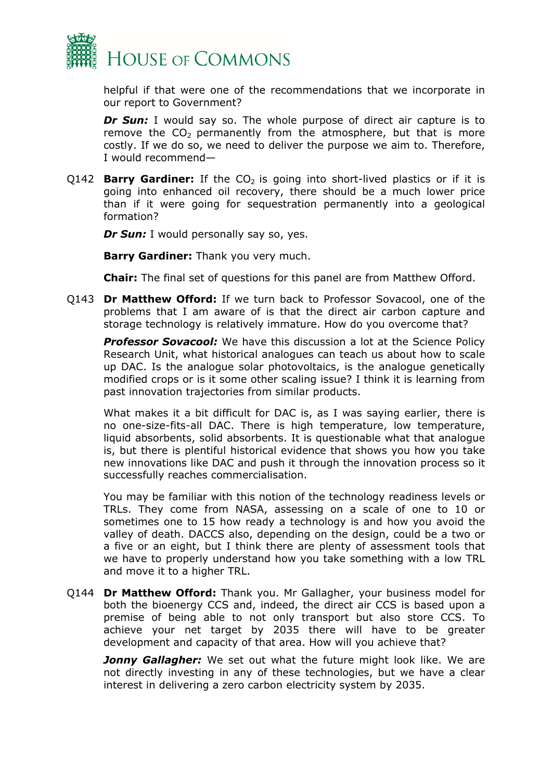

helpful if that were one of the recommendations that we incorporate in our report to Government?

**Dr Sun:** I would say so. The whole purpose of direct air capture is to remove the  $CO<sub>2</sub>$  permanently from the atmosphere, but that is more costly. If we do so, we need to deliver the purpose we aim to. Therefore, I would recommend—

Q142 **Barry Gardiner:** If the  $CO<sub>2</sub>$  is going into short-lived plastics or if it is going into enhanced oil recovery, there should be a much lower price than if it were going for sequestration permanently into a geological formation?

*Dr Sun:* I would personally say so, yes.

**Barry Gardiner:** Thank you very much.

**Chair:** The final set of questions for this panel are from Matthew Offord.

Q143 **Dr Matthew Offord:** If we turn back to Professor Sovacool, one of the problems that I am aware of is that the direct air carbon capture and storage technology is relatively immature. How do you overcome that?

*Professor Sovacool:* We have this discussion a lot at the Science Policy Research Unit, what historical analogues can teach us about how to scale up DAC. Is the analogue solar photovoltaics, is the analogue genetically modified crops or is it some other scaling issue? I think it is learning from past innovation trajectories from similar products.

What makes it a bit difficult for DAC is, as I was saying earlier, there is no one-size-fits-all DAC. There is high temperature, low temperature, liquid absorbents, solid absorbents. It is questionable what that analogue is, but there is plentiful historical evidence that shows you how you take new innovations like DAC and push it through the innovation process so it successfully reaches commercialisation.

You may be familiar with this notion of the technology readiness levels or TRLs. They come from NASA, assessing on a scale of one to 10 or sometimes one to 15 how ready a technology is and how you avoid the valley of death. DACCS also, depending on the design, could be a two or a five or an eight, but I think there are plenty of assessment tools that we have to properly understand how you take something with a low TRL and move it to a higher TRL.

Q144 **Dr Matthew Offord:** Thank you. Mr Gallagher, your business model for both the bioenergy CCS and, indeed, the direct air CCS is based upon a premise of being able to not only transport but also store CCS. To achieve your net target by 2035 there will have to be greater development and capacity of that area. How will you achieve that?

*Jonny Gallagher:* We set out what the future might look like. We are not directly investing in any of these technologies, but we have a clear interest in delivering a zero carbon electricity system by 2035.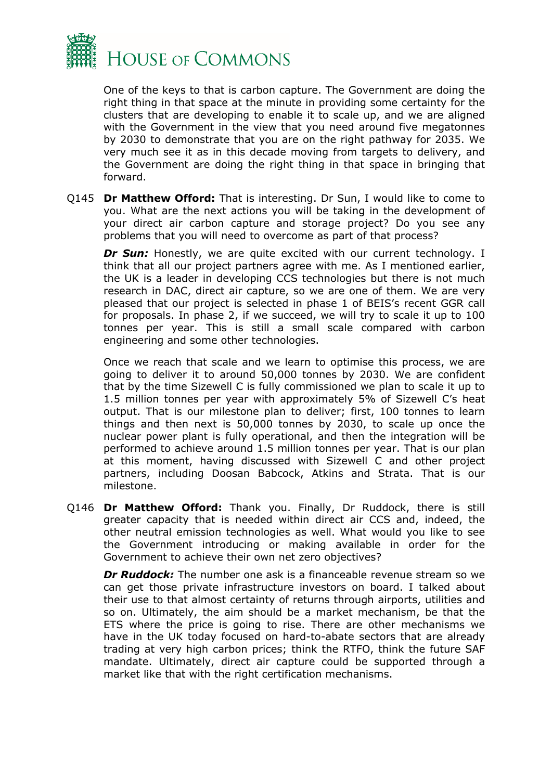

One of the keys to that is carbon capture. The Government are doing the right thing in that space at the minute in providing some certainty for the clusters that are developing to enable it to scale up, and we are aligned with the Government in the view that you need around five megatonnes by 2030 to demonstrate that you are on the right pathway for 2035. We very much see it as in this decade moving from targets to delivery, and the Government are doing the right thing in that space in bringing that forward.

Q145 **Dr Matthew Offord:** That is interesting. Dr Sun, I would like to come to you. What are the next actions you will be taking in the development of your direct air carbon capture and storage project? Do you see any problems that you will need to overcome as part of that process?

*Dr Sun:* Honestly, we are quite excited with our current technology. I think that all our project partners agree with me. As I mentioned earlier, the UK is a leader in developing CCS technologies but there is not much research in DAC, direct air capture, so we are one of them. We are very pleased that our project is selected in phase 1 of BEIS's recent GGR call for proposals. In phase 2, if we succeed, we will try to scale it up to 100 tonnes per year. This is still a small scale compared with carbon engineering and some other technologies.

Once we reach that scale and we learn to optimise this process, we are going to deliver it to around 50,000 tonnes by 2030. We are confident that by the time Sizewell C is fully commissioned we plan to scale it up to 1.5 million tonnes per year with approximately 5% of Sizewell C's heat output. That is our milestone plan to deliver; first, 100 tonnes to learn things and then next is 50,000 tonnes by 2030, to scale up once the nuclear power plant is fully operational, and then the integration will be performed to achieve around 1.5 million tonnes per year. That is our plan at this moment, having discussed with Sizewell C and other project partners, including Doosan Babcock, Atkins and Strata. That is our milestone.

Q146 **Dr Matthew Offord:** Thank you. Finally, Dr Ruddock, there is still greater capacity that is needed within direct air CCS and, indeed, the other neutral emission technologies as well. What would you like to see the Government introducing or making available in order for the Government to achieve their own net zero objectives?

*Dr Ruddock:* The number one ask is a financeable revenue stream so we can get those private infrastructure investors on board. I talked about their use to that almost certainty of returns through airports, utilities and so on. Ultimately, the aim should be a market mechanism, be that the ETS where the price is going to rise. There are other mechanisms we have in the UK today focused on hard-to-abate sectors that are already trading at very high carbon prices; think the RTFO, think the future SAF mandate. Ultimately, direct air capture could be supported through a market like that with the right certification mechanisms.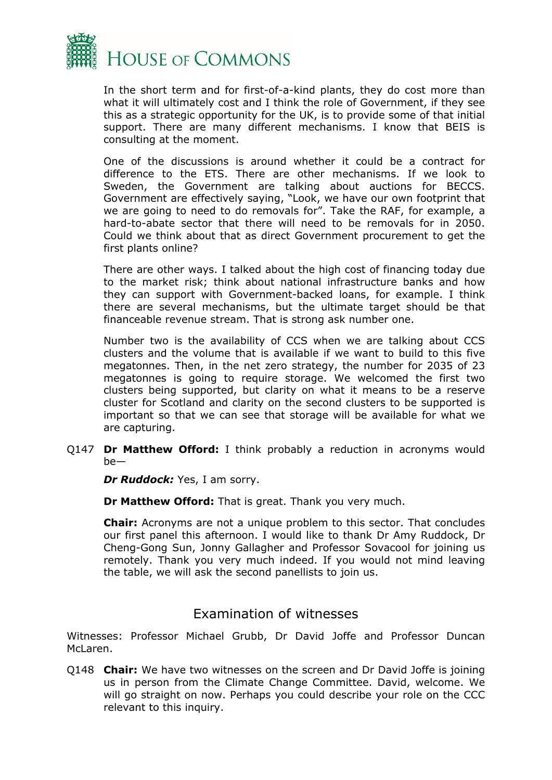

In the short term and for first-of-a-kind plants, they do cost more than what it will ultimately cost and I think the role of Government, if they see this as a strategic opportunity for the UK, is to provide some of that initial support. There are many different mechanisms. I know that BEIS is consulting at the moment.

One of the discussions is around whether it could be a contract for difference to the ETS. There are other mechanisms. If we look to Sweden, the Government are talking about auctions for BECCS. Government are effectively saying, "Look, we have our own footprint that we are going to need to do removals for". Take the RAF, for example, a hard-to-abate sector that there will need to be removals for in 2050. Could we think about that as direct Government procurement to get the first plants online?

There are other ways. I talked about the high cost of financing today due to the market risk; think about national infrastructure banks and how they can support with Government-backed loans, for example. I think there are several mechanisms, but the ultimate target should be that financeable revenue stream. That is strong ask number one.

Number two is the availability of CCS when we are talking about CCS clusters and the volume that is available if we want to build to this five megatonnes. Then, in the net zero strategy, the number for 2035 of 23 megatonnes is going to require storage. We welcomed the first two clusters being supported, but clarity on what it means to be a reserve cluster for Scotland and clarity on the second clusters to be supported is important so that we can see that storage will be available for what we are capturing.

Q147 **Dr Matthew Offord:** I think probably a reduction in acronyms would be—

*Dr Ruddock:* Yes, I am sorry.

**Dr Matthew Offord:** That is great. Thank you very much.

**Chair:** Acronyms are not a unique problem to this sector. That concludes our first panel this afternoon. I would like to thank Dr Amy Ruddock, Dr Cheng-Gong Sun, Jonny Gallagher and Professor Sovacool for joining us remotely. Thank you very much indeed. If you would not mind leaving the table, we will ask the second panellists to join us.

### Examination of witnesses

Witnesses: Professor Michael Grubb, Dr David Joffe and Professor Duncan McLaren.

Q148 **Chair:** We have two witnesses on the screen and Dr David Joffe is joining us in person from the Climate Change Committee. David, welcome. We will go straight on now. Perhaps you could describe your role on the CCC relevant to this inquiry.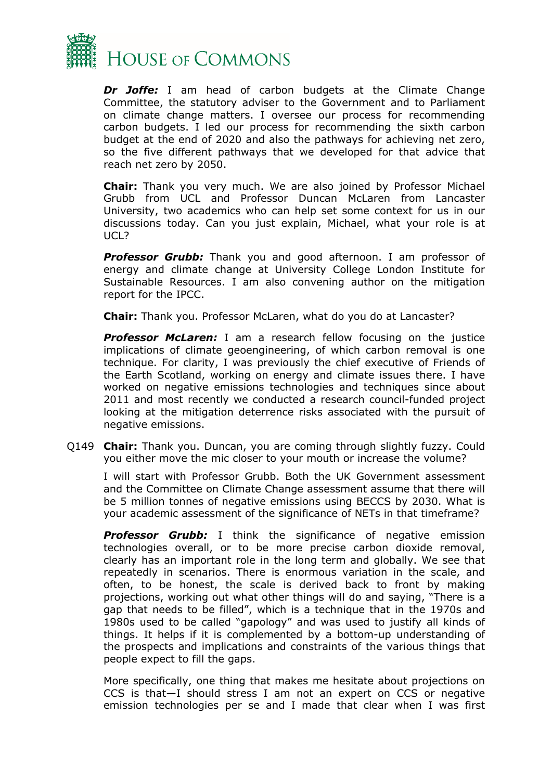

*Dr Joffe:* I am head of carbon budgets at the Climate Change Committee, the statutory adviser to the Government and to Parliament on climate change matters. I oversee our process for recommending carbon budgets. I led our process for recommending the sixth carbon budget at the end of 2020 and also the pathways for achieving net zero, so the five different pathways that we developed for that advice that reach net zero by 2050.

**Chair:** Thank you very much. We are also joined by Professor Michael Grubb from UCL and Professor Duncan McLaren from Lancaster University, two academics who can help set some context for us in our discussions today. Can you just explain, Michael, what your role is at UCL?

**Professor Grubb:** Thank you and good afternoon. I am professor of energy and climate change at University College London Institute for Sustainable Resources. I am also convening author on the mitigation report for the IPCC.

**Chair:** Thank you. Professor McLaren, what do you do at Lancaster?

**Professor McLaren:** I am a research fellow focusing on the justice implications of climate geoengineering, of which carbon removal is one technique. For clarity, I was previously the chief executive of Friends of the Earth Scotland, working on energy and climate issues there. I have worked on negative emissions technologies and techniques since about 2011 and most recently we conducted a research council-funded project looking at the mitigation deterrence risks associated with the pursuit of negative emissions.

Q149 **Chair:** Thank you. Duncan, you are coming through slightly fuzzy. Could you either move the mic closer to your mouth or increase the volume?

I will start with Professor Grubb. Both the UK Government assessment and the Committee on Climate Change assessment assume that there will be 5 million tonnes of negative emissions using BECCS by 2030. What is your academic assessment of the significance of NETs in that timeframe?

*Professor Grubb:* I think the significance of negative emission technologies overall, or to be more precise carbon dioxide removal, clearly has an important role in the long term and globally. We see that repeatedly in scenarios. There is enormous variation in the scale, and often, to be honest, the scale is derived back to front by making projections, working out what other things will do and saying, "There is a gap that needs to be filled", which is a technique that in the 1970s and 1980s used to be called "gapology" and was used to justify all kinds of things. It helps if it is complemented by a bottom-up understanding of the prospects and implications and constraints of the various things that people expect to fill the gaps.

More specifically, one thing that makes me hesitate about projections on CCS is that—I should stress I am not an expert on CCS or negative emission technologies per se and I made that clear when I was first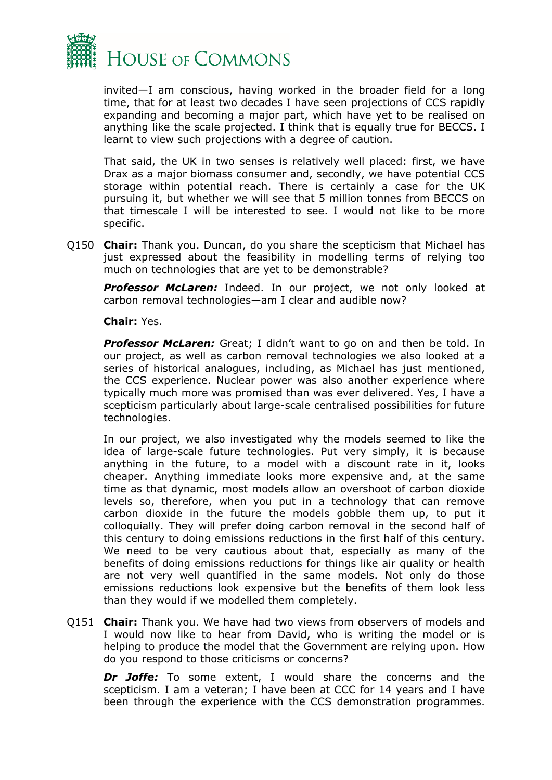

invited—I am conscious, having worked in the broader field for a long time, that for at least two decades I have seen projections of CCS rapidly expanding and becoming a major part, which have yet to be realised on anything like the scale projected. I think that is equally true for BECCS. I learnt to view such projections with a degree of caution.

That said, the UK in two senses is relatively well placed: first, we have Drax as a major biomass consumer and, secondly, we have potential CCS storage within potential reach. There is certainly a case for the UK pursuing it, but whether we will see that 5 million tonnes from BECCS on that timescale I will be interested to see. I would not like to be more specific.

Q150 **Chair:** Thank you. Duncan, do you share the scepticism that Michael has just expressed about the feasibility in modelling terms of relying too much on technologies that are yet to be demonstrable?

*Professor McLaren:* Indeed. In our project, we not only looked at carbon removal technologies—am I clear and audible now?

**Chair:** Yes.

*Professor McLaren:* Great; I didn't want to go on and then be told. In our project, as well as carbon removal technologies we also looked at a series of historical analogues, including, as Michael has just mentioned, the CCS experience. Nuclear power was also another experience where typically much more was promised than was ever delivered. Yes, I have a scepticism particularly about large-scale centralised possibilities for future technologies.

In our project, we also investigated why the models seemed to like the idea of large-scale future technologies. Put very simply, it is because anything in the future, to a model with a discount rate in it, looks cheaper. Anything immediate looks more expensive and, at the same time as that dynamic, most models allow an overshoot of carbon dioxide levels so, therefore, when you put in a technology that can remove carbon dioxide in the future the models gobble them up, to put it colloquially. They will prefer doing carbon removal in the second half of this century to doing emissions reductions in the first half of this century. We need to be very cautious about that, especially as many of the benefits of doing emissions reductions for things like air quality or health are not very well quantified in the same models. Not only do those emissions reductions look expensive but the benefits of them look less than they would if we modelled them completely.

Q151 **Chair:** Thank you. We have had two views from observers of models and I would now like to hear from David, who is writing the model or is helping to produce the model that the Government are relying upon. How do you respond to those criticisms or concerns?

*Dr Joffe:* To some extent, I would share the concerns and the scepticism. I am a veteran; I have been at CCC for 14 years and I have been through the experience with the CCS demonstration programmes.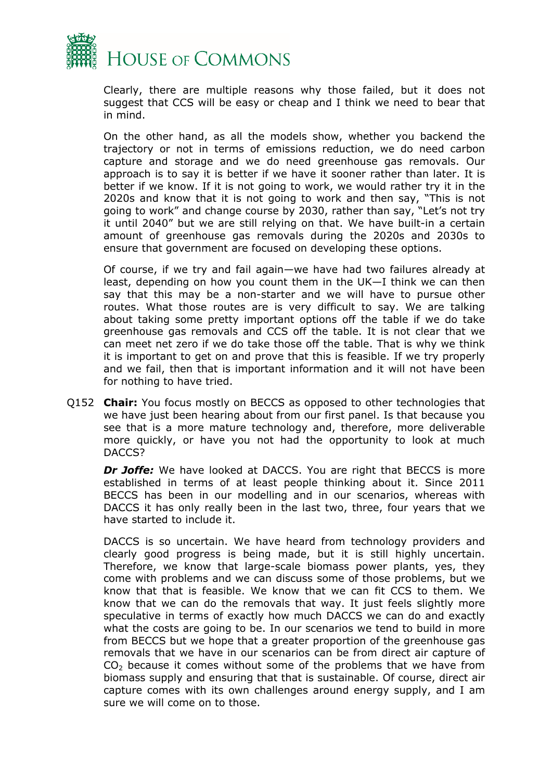

Clearly, there are multiple reasons why those failed, but it does not suggest that CCS will be easy or cheap and I think we need to bear that in mind.

On the other hand, as all the models show, whether you backend the trajectory or not in terms of emissions reduction, we do need carbon capture and storage and we do need greenhouse gas removals. Our approach is to say it is better if we have it sooner rather than later. It is better if we know. If it is not going to work, we would rather try it in the 2020s and know that it is not going to work and then say, "This is not going to work" and change course by 2030, rather than say, "Let's not try it until 2040" but we are still relying on that. We have built-in a certain amount of greenhouse gas removals during the 2020s and 2030s to ensure that government are focused on developing these options.

Of course, if we try and fail again—we have had two failures already at least, depending on how you count them in the UK—I think we can then say that this may be a non-starter and we will have to pursue other routes. What those routes are is very difficult to say. We are talking about taking some pretty important options off the table if we do take greenhouse gas removals and CCS off the table. It is not clear that we can meet net zero if we do take those off the table. That is why we think it is important to get on and prove that this is feasible. If we try properly and we fail, then that is important information and it will not have been for nothing to have tried.

Q152 **Chair:** You focus mostly on BECCS as opposed to other technologies that we have just been hearing about from our first panel. Is that because you see that is a more mature technology and, therefore, more deliverable more quickly, or have you not had the opportunity to look at much DACCS?

*Dr Joffe:* We have looked at DACCS. You are right that BECCS is more established in terms of at least people thinking about it. Since 2011 BECCS has been in our modelling and in our scenarios, whereas with DACCS it has only really been in the last two, three, four years that we have started to include it.

DACCS is so uncertain. We have heard from technology providers and clearly good progress is being made, but it is still highly uncertain. Therefore, we know that large-scale biomass power plants, yes, they come with problems and we can discuss some of those problems, but we know that that is feasible. We know that we can fit CCS to them. We know that we can do the removals that way. It just feels slightly more speculative in terms of exactly how much DACCS we can do and exactly what the costs are going to be. In our scenarios we tend to build in more from BECCS but we hope that a greater proportion of the greenhouse gas removals that we have in our scenarios can be from direct air capture of  $CO<sub>2</sub>$  because it comes without some of the problems that we have from biomass supply and ensuring that that is sustainable. Of course, direct air capture comes with its own challenges around energy supply, and I am sure we will come on to those.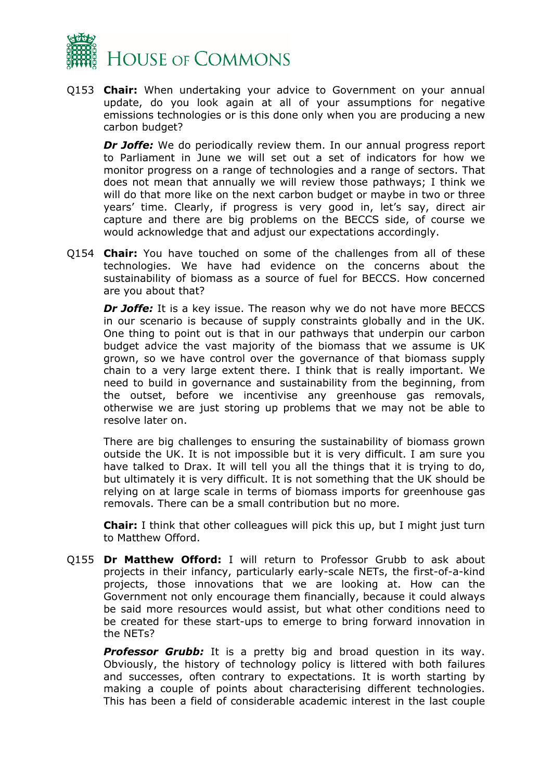

Q153 **Chair:** When undertaking your advice to Government on your annual update, do you look again at all of your assumptions for negative emissions technologies or is this done only when you are producing a new carbon budget?

*Dr Joffe:* We do periodically review them. In our annual progress report to Parliament in June we will set out a set of indicators for how we monitor progress on a range of technologies and a range of sectors. That does not mean that annually we will review those pathways; I think we will do that more like on the next carbon budget or maybe in two or three years' time. Clearly, if progress is very good in, let's say, direct air capture and there are big problems on the BECCS side, of course we would acknowledge that and adjust our expectations accordingly.

Q154 **Chair:** You have touched on some of the challenges from all of these technologies. We have had evidence on the concerns about the sustainability of biomass as a source of fuel for BECCS. How concerned are you about that?

*Dr Joffe:* It is a key issue. The reason why we do not have more BECCS in our scenario is because of supply constraints globally and in the UK. One thing to point out is that in our pathways that underpin our carbon budget advice the vast majority of the biomass that we assume is UK grown, so we have control over the governance of that biomass supply chain to a very large extent there. I think that is really important. We need to build in governance and sustainability from the beginning, from the outset, before we incentivise any greenhouse gas removals, otherwise we are just storing up problems that we may not be able to resolve later on.

There are big challenges to ensuring the sustainability of biomass grown outside the UK. It is not impossible but it is very difficult. I am sure you have talked to Drax. It will tell you all the things that it is trying to do, but ultimately it is very difficult. It is not something that the UK should be relying on at large scale in terms of biomass imports for greenhouse gas removals. There can be a small contribution but no more.

**Chair:** I think that other colleagues will pick this up, but I might just turn to Matthew Offord.

Q155 **Dr Matthew Offord:** I will return to Professor Grubb to ask about projects in their infancy, particularly early-scale NETs, the first-of-a-kind projects, those innovations that we are looking at. How can the Government not only encourage them financially, because it could always be said more resources would assist, but what other conditions need to be created for these start-ups to emerge to bring forward innovation in the NETs?

**Professor Grubb:** It is a pretty big and broad question in its way. Obviously, the history of technology policy is littered with both failures and successes, often contrary to expectations. It is worth starting by making a couple of points about characterising different technologies. This has been a field of considerable academic interest in the last couple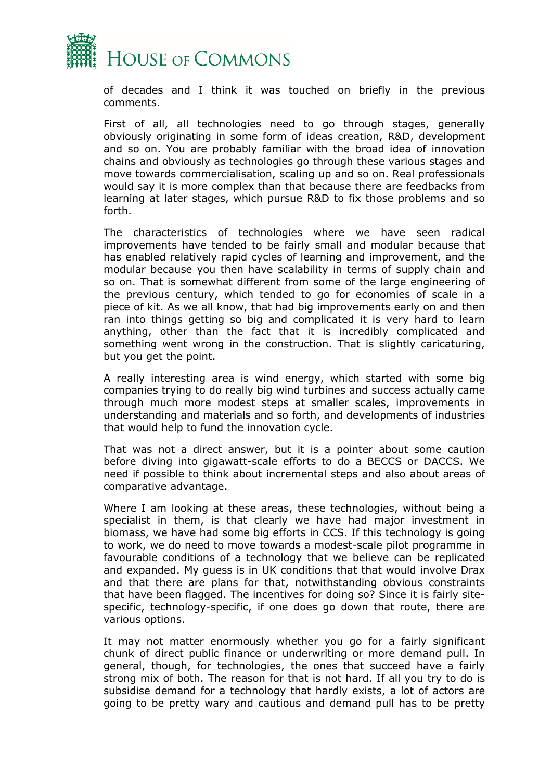

of decades and I think it was touched on briefly in the previous comments.

First of all, all technologies need to go through stages, generally obviously originating in some form of ideas creation, R&D, development and so on. You are probably familiar with the broad idea of innovation chains and obviously as technologies go through these various stages and move towards commercialisation, scaling up and so on. Real professionals would say it is more complex than that because there are feedbacks from learning at later stages, which pursue R&D to fix those problems and so forth.

The characteristics of technologies where we have seen radical improvements have tended to be fairly small and modular because that has enabled relatively rapid cycles of learning and improvement, and the modular because you then have scalability in terms of supply chain and so on. That is somewhat different from some of the large engineering of the previous century, which tended to go for economies of scale in a piece of kit. As we all know, that had big improvements early on and then ran into things getting so big and complicated it is very hard to learn anything, other than the fact that it is incredibly complicated and something went wrong in the construction. That is slightly caricaturing, but you get the point.

A really interesting area is wind energy, which started with some big companies trying to do really big wind turbines and success actually came through much more modest steps at smaller scales, improvements in understanding and materials and so forth, and developments of industries that would help to fund the innovation cycle.

That was not a direct answer, but it is a pointer about some caution before diving into gigawatt-scale efforts to do a BECCS or DACCS. We need if possible to think about incremental steps and also about areas of comparative advantage.

Where I am looking at these areas, these technologies, without being a specialist in them, is that clearly we have had major investment in biomass, we have had some big efforts in CCS. If this technology is going to work, we do need to move towards a modest-scale pilot programme in favourable conditions of a technology that we believe can be replicated and expanded. My guess is in UK conditions that that would involve Drax and that there are plans for that, notwithstanding obvious constraints that have been flagged. The incentives for doing so? Since it is fairly sitespecific, technology-specific, if one does go down that route, there are various options.

It may not matter enormously whether you go for a fairly significant chunk of direct public finance or underwriting or more demand pull. In general, though, for technologies, the ones that succeed have a fairly strong mix of both. The reason for that is not hard. If all you try to do is subsidise demand for a technology that hardly exists, a lot of actors are going to be pretty wary and cautious and demand pull has to be pretty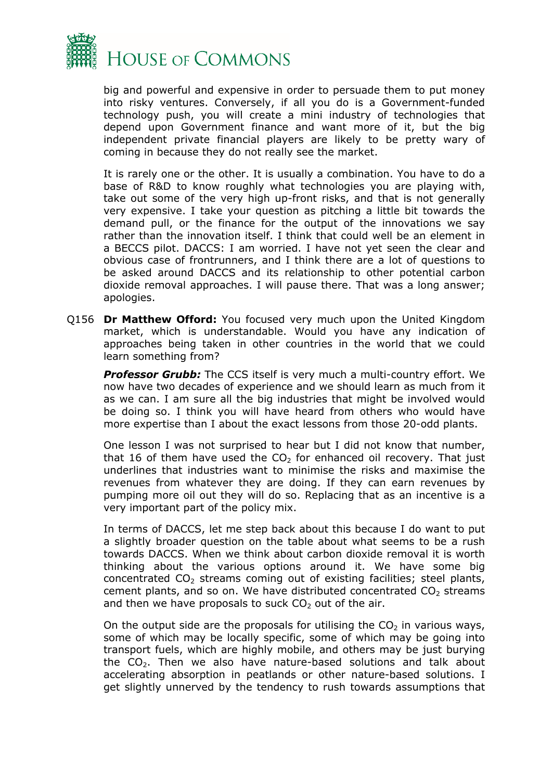

big and powerful and expensive in order to persuade them to put money into risky ventures. Conversely, if all you do is a Government-funded technology push, you will create a mini industry of technologies that depend upon Government finance and want more of it, but the big independent private financial players are likely to be pretty wary of coming in because they do not really see the market.

It is rarely one or the other. It is usually a combination. You have to do a base of R&D to know roughly what technologies you are playing with, take out some of the very high up-front risks, and that is not generally very expensive. I take your question as pitching a little bit towards the demand pull, or the finance for the output of the innovations we say rather than the innovation itself. I think that could well be an element in a BECCS pilot. DACCS: I am worried. I have not yet seen the clear and obvious case of frontrunners, and I think there are a lot of questions to be asked around DACCS and its relationship to other potential carbon dioxide removal approaches. I will pause there. That was a long answer; apologies.

Q156 **Dr Matthew Offord:** You focused very much upon the United Kingdom market, which is understandable. Would you have any indication of approaches being taken in other countries in the world that we could learn something from?

**Professor Grubb:** The CCS itself is very much a multi-country effort. We now have two decades of experience and we should learn as much from it as we can. I am sure all the big industries that might be involved would be doing so. I think you will have heard from others who would have more expertise than I about the exact lessons from those 20-odd plants.

One lesson I was not surprised to hear but I did not know that number, that 16 of them have used the  $CO<sub>2</sub>$  for enhanced oil recovery. That just underlines that industries want to minimise the risks and maximise the revenues from whatever they are doing. If they can earn revenues by pumping more oil out they will do so. Replacing that as an incentive is a very important part of the policy mix.

In terms of DACCS, let me step back about this because I do want to put a slightly broader question on the table about what seems to be a rush towards DACCS. When we think about carbon dioxide removal it is worth thinking about the various options around it. We have some big concentrated  $CO<sub>2</sub>$  streams coming out of existing facilities; steel plants, cement plants, and so on. We have distributed concentrated  $CO<sub>2</sub>$  streams and then we have proposals to suck  $CO<sub>2</sub>$  out of the air.

On the output side are the proposals for utilising the  $CO<sub>2</sub>$  in various ways, some of which may be locally specific, some of which may be going into transport fuels, which are highly mobile, and others may be just burying the CO<sub>2</sub>. Then we also have nature-based solutions and talk about accelerating absorption in peatlands or other nature-based solutions. I get slightly unnerved by the tendency to rush towards assumptions that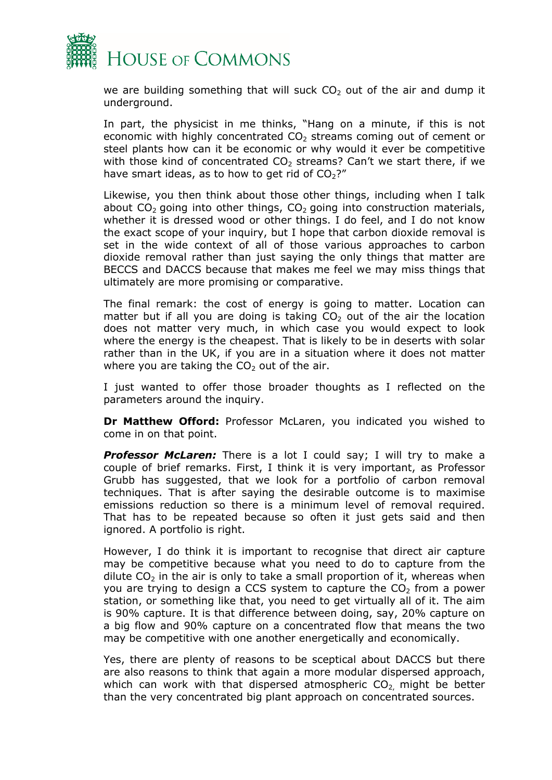

we are building something that will suck  $CO<sub>2</sub>$  out of the air and dump it underground.

In part, the physicist in me thinks, "Hang on a minute, if this is not economic with highly concentrated  $CO<sub>2</sub>$  streams coming out of cement or steel plants how can it be economic or why would it ever be competitive with those kind of concentrated  $CO<sub>2</sub>$  streams? Can't we start there, if we have smart ideas, as to how to get rid of  $CO<sub>2</sub>$ ?"

Likewise, you then think about those other things, including when I talk about  $CO<sub>2</sub>$  going into other things,  $CO<sub>2</sub>$  going into construction materials, whether it is dressed wood or other things. I do feel, and I do not know the exact scope of your inquiry, but I hope that carbon dioxide removal is set in the wide context of all of those various approaches to carbon dioxide removal rather than just saying the only things that matter are BECCS and DACCS because that makes me feel we may miss things that ultimately are more promising or comparative.

The final remark: the cost of energy is going to matter. Location can matter but if all you are doing is taking  $CO<sub>2</sub>$  out of the air the location does not matter very much, in which case you would expect to look where the energy is the cheapest. That is likely to be in deserts with solar rather than in the UK, if you are in a situation where it does not matter where you are taking the  $CO<sub>2</sub>$  out of the air.

I just wanted to offer those broader thoughts as I reflected on the parameters around the inquiry.

**Dr Matthew Offord:** Professor McLaren, you indicated you wished to come in on that point.

**Professor McLaren:** There is a lot I could say; I will try to make a couple of brief remarks. First, I think it is very important, as Professor Grubb has suggested, that we look for a portfolio of carbon removal techniques. That is after saying the desirable outcome is to maximise emissions reduction so there is a minimum level of removal required. That has to be repeated because so often it just gets said and then ignored. A portfolio is right.

However, I do think it is important to recognise that direct air capture may be competitive because what you need to do to capture from the dilute  $CO<sub>2</sub>$  in the air is only to take a small proportion of it, whereas when you are trying to design a CCS system to capture the  $CO<sub>2</sub>$  from a power station, or something like that, you need to get virtually all of it. The aim is 90% capture. It is that difference between doing, say, 20% capture on a big flow and 90% capture on a concentrated flow that means the two may be competitive with one another energetically and economically.

Yes, there are plenty of reasons to be sceptical about DACCS but there are also reasons to think that again a more modular dispersed approach, which can work with that dispersed atmospheric  $CO<sub>2</sub>$  might be better than the very concentrated big plant approach on concentrated sources.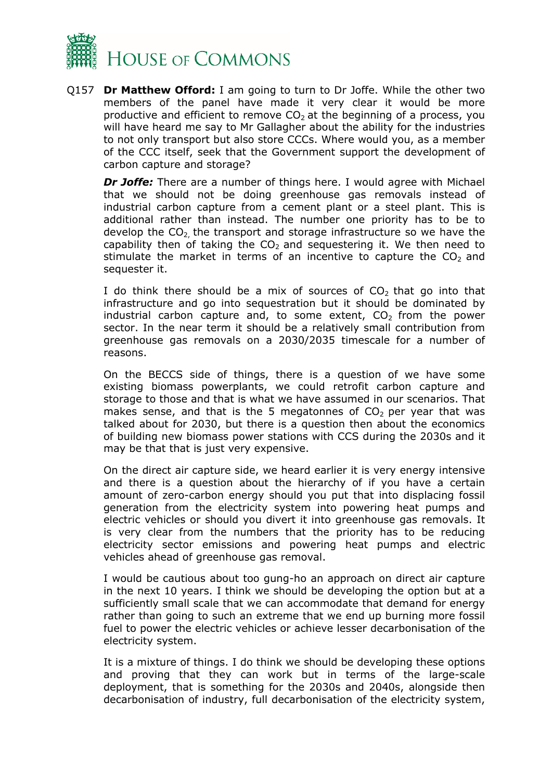

Q157 **Dr Matthew Offord:** I am going to turn to Dr Joffe. While the other two members of the panel have made it very clear it would be more productive and efficient to remove  $CO<sub>2</sub>$  at the beginning of a process, you will have heard me say to Mr Gallagher about the ability for the industries to not only transport but also store CCCs. Where would you, as a member of the CCC itself, seek that the Government support the development of carbon capture and storage?

*Dr Joffe:* There are a number of things here. I would agree with Michael that we should not be doing greenhouse gas removals instead of industrial carbon capture from a cement plant or a steel plant. This is additional rather than instead. The number one priority has to be to develop the  $CO<sub>2</sub>$  the transport and storage infrastructure so we have the capability then of taking the  $CO<sub>2</sub>$  and sequestering it. We then need to stimulate the market in terms of an incentive to capture the  $CO<sub>2</sub>$  and sequester it.

I do think there should be a mix of sources of  $CO<sub>2</sub>$  that go into that infrastructure and go into sequestration but it should be dominated by industrial carbon capture and, to some extent,  $CO<sub>2</sub>$  from the power sector. In the near term it should be a relatively small contribution from greenhouse gas removals on a 2030/2035 timescale for a number of reasons.

On the BECCS side of things, there is a question of we have some existing biomass powerplants, we could retrofit carbon capture and storage to those and that is what we have assumed in our scenarios. That makes sense, and that is the 5 megatonnes of  $CO<sub>2</sub>$  per year that was talked about for 2030, but there is a question then about the economics of building new biomass power stations with CCS during the 2030s and it may be that that is just very expensive.

On the direct air capture side, we heard earlier it is very energy intensive and there is a question about the hierarchy of if you have a certain amount of zero-carbon energy should you put that into displacing fossil generation from the electricity system into powering heat pumps and electric vehicles or should you divert it into greenhouse gas removals. It is very clear from the numbers that the priority has to be reducing electricity sector emissions and powering heat pumps and electric vehicles ahead of greenhouse gas removal.

I would be cautious about too gung-ho an approach on direct air capture in the next 10 years. I think we should be developing the option but at a sufficiently small scale that we can accommodate that demand for energy rather than going to such an extreme that we end up burning more fossil fuel to power the electric vehicles or achieve lesser decarbonisation of the electricity system.

It is a mixture of things. I do think we should be developing these options and proving that they can work but in terms of the large-scale deployment, that is something for the 2030s and 2040s, alongside then decarbonisation of industry, full decarbonisation of the electricity system,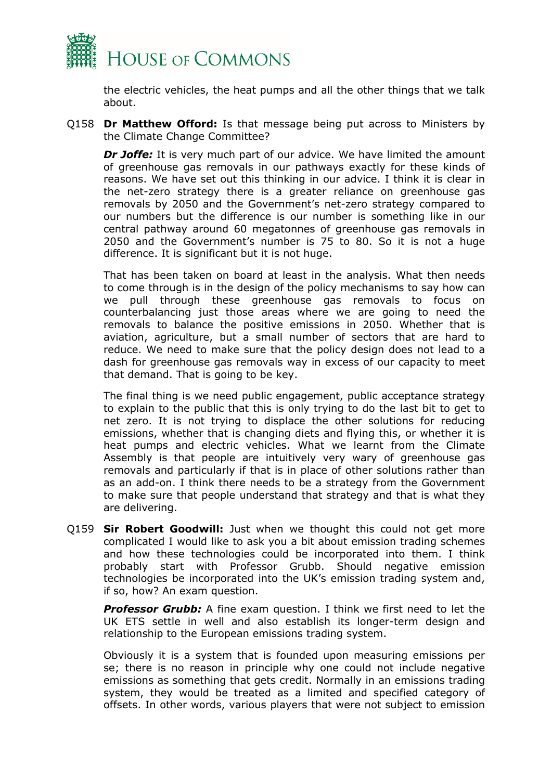

the electric vehicles, the heat pumps and all the other things that we talk about.

Q158 **Dr Matthew Offord:** Is that message being put across to Ministers by the Climate Change Committee?

**Dr Joffe:** It is very much part of our advice. We have limited the amount of greenhouse gas removals in our pathways exactly for these kinds of reasons. We have set out this thinking in our advice. I think it is clear in the net-zero strategy there is a greater reliance on greenhouse gas removals by 2050 and the Government's net-zero strategy compared to our numbers but the difference is our number is something like in our central pathway around 60 megatonnes of greenhouse gas removals in 2050 and the Government's number is 75 to 80. So it is not a huge difference. It is significant but it is not huge.

That has been taken on board at least in the analysis. What then needs to come through is in the design of the policy mechanisms to say how can we pull through these greenhouse gas removals to focus on counterbalancing just those areas where we are going to need the removals to balance the positive emissions in 2050. Whether that is aviation, agriculture, but a small number of sectors that are hard to reduce. We need to make sure that the policy design does not lead to a dash for greenhouse gas removals way in excess of our capacity to meet that demand. That is going to be key.

The final thing is we need public engagement, public acceptance strategy to explain to the public that this is only trying to do the last bit to get to net zero. It is not trying to displace the other solutions for reducing emissions, whether that is changing diets and flying this, or whether it is heat pumps and electric vehicles. What we learnt from the Climate Assembly is that people are intuitively very wary of greenhouse gas removals and particularly if that is in place of other solutions rather than as an add-on. I think there needs to be a strategy from the Government to make sure that people understand that strategy and that is what they are delivering.

Q159 **Sir Robert Goodwill:** Just when we thought this could not get more complicated I would like to ask you a bit about emission trading schemes and how these technologies could be incorporated into them. I think probably start with Professor Grubb. Should negative emission technologies be incorporated into the UK's emission trading system and, if so, how? An exam question.

**Professor Grubb:** A fine exam question. I think we first need to let the UK ETS settle in well and also establish its longer-term design and relationship to the European emissions trading system.

Obviously it is a system that is founded upon measuring emissions per se; there is no reason in principle why one could not include negative emissions as something that gets credit. Normally in an emissions trading system, they would be treated as a limited and specified category of offsets. In other words, various players that were not subject to emission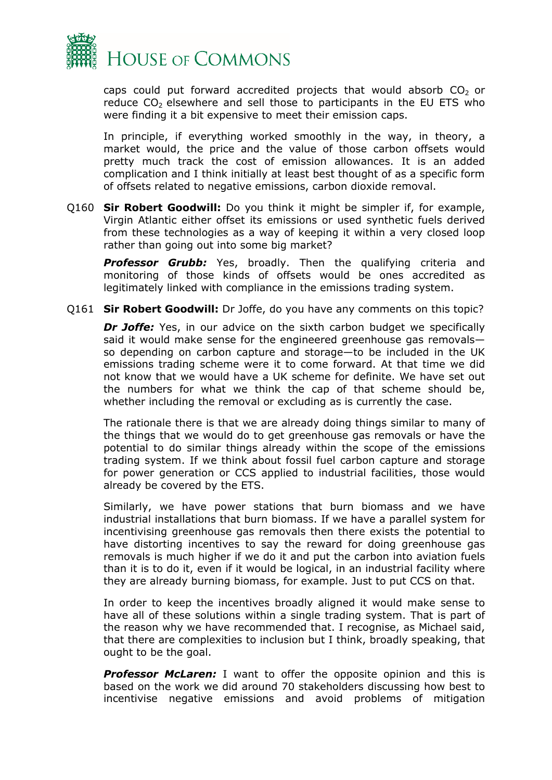

caps could put forward accredited projects that would absorb  $CO<sub>2</sub>$  or reduce  $CO<sub>2</sub>$  elsewhere and sell those to participants in the EU ETS who were finding it a bit expensive to meet their emission caps.

In principle, if everything worked smoothly in the way, in theory, a market would, the price and the value of those carbon offsets would pretty much track the cost of emission allowances. It is an added complication and I think initially at least best thought of as a specific form of offsets related to negative emissions, carbon dioxide removal.

Q160 **Sir Robert Goodwill:** Do you think it might be simpler if, for example, Virgin Atlantic either offset its emissions or used synthetic fuels derived from these technologies as a way of keeping it within a very closed loop rather than going out into some big market?

**Professor Grubb:** Yes, broadly. Then the qualifying criteria and monitoring of those kinds of offsets would be ones accredited as legitimately linked with compliance in the emissions trading system.

Q161 **Sir Robert Goodwill:** Dr Joffe, do you have any comments on this topic?

*Dr Joffe:* Yes, in our advice on the sixth carbon budget we specifically said it would make sense for the engineered greenhouse gas removals so depending on carbon capture and storage—to be included in the UK emissions trading scheme were it to come forward. At that time we did not know that we would have a UK scheme for definite. We have set out the numbers for what we think the cap of that scheme should be, whether including the removal or excluding as is currently the case.

The rationale there is that we are already doing things similar to many of the things that we would do to get greenhouse gas removals or have the potential to do similar things already within the scope of the emissions trading system. If we think about fossil fuel carbon capture and storage for power generation or CCS applied to industrial facilities, those would already be covered by the ETS.

Similarly, we have power stations that burn biomass and we have industrial installations that burn biomass. If we have a parallel system for incentivising greenhouse gas removals then there exists the potential to have distorting incentives to say the reward for doing greenhouse gas removals is much higher if we do it and put the carbon into aviation fuels than it is to do it, even if it would be logical, in an industrial facility where they are already burning biomass, for example. Just to put CCS on that.

In order to keep the incentives broadly aligned it would make sense to have all of these solutions within a single trading system. That is part of the reason why we have recommended that. I recognise, as Michael said, that there are complexities to inclusion but I think, broadly speaking, that ought to be the goal.

**Professor McLaren:** I want to offer the opposite opinion and this is based on the work we did around 70 stakeholders discussing how best to incentivise negative emissions and avoid problems of mitigation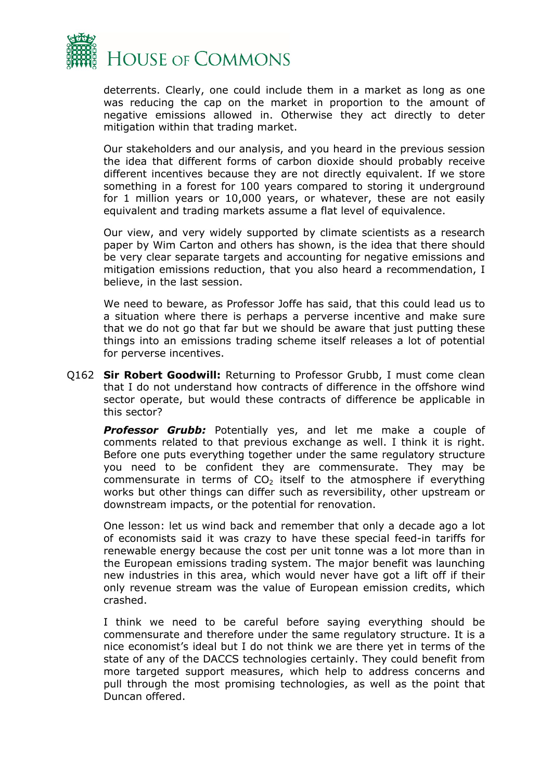

deterrents. Clearly, one could include them in a market as long as one was reducing the cap on the market in proportion to the amount of negative emissions allowed in. Otherwise they act directly to deter mitigation within that trading market.

Our stakeholders and our analysis, and you heard in the previous session the idea that different forms of carbon dioxide should probably receive different incentives because they are not directly equivalent. If we store something in a forest for 100 years compared to storing it underground for 1 million years or 10,000 years, or whatever, these are not easily equivalent and trading markets assume a flat level of equivalence.

Our view, and very widely supported by climate scientists as a research paper by Wim Carton and others has shown, is the idea that there should be very clear separate targets and accounting for negative emissions and mitigation emissions reduction, that you also heard a recommendation, I believe, in the last session.

We need to beware, as Professor Joffe has said, that this could lead us to a situation where there is perhaps a perverse incentive and make sure that we do not go that far but we should be aware that just putting these things into an emissions trading scheme itself releases a lot of potential for perverse incentives.

Q162 **Sir Robert Goodwill:** Returning to Professor Grubb, I must come clean that I do not understand how contracts of difference in the offshore wind sector operate, but would these contracts of difference be applicable in this sector?

*Professor Grubb:* Potentially yes, and let me make a couple of comments related to that previous exchange as well. I think it is right. Before one puts everything together under the same regulatory structure you need to be confident they are commensurate. They may be commensurate in terms of  $CO<sub>2</sub>$  itself to the atmosphere if everything works but other things can differ such as reversibility, other upstream or downstream impacts, or the potential for renovation.

One lesson: let us wind back and remember that only a decade ago a lot of economists said it was crazy to have these special feed-in tariffs for renewable energy because the cost per unit tonne was a lot more than in the European emissions trading system. The major benefit was launching new industries in this area, which would never have got a lift off if their only revenue stream was the value of European emission credits, which crashed.

I think we need to be careful before saying everything should be commensurate and therefore under the same regulatory structure. It is a nice economist's ideal but I do not think we are there yet in terms of the state of any of the DACCS technologies certainly. They could benefit from more targeted support measures, which help to address concerns and pull through the most promising technologies, as well as the point that Duncan offered.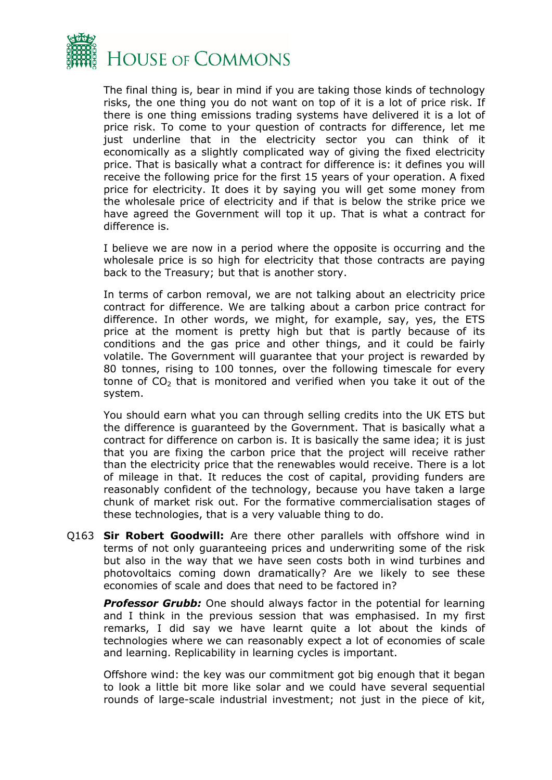

The final thing is, bear in mind if you are taking those kinds of technology risks, the one thing you do not want on top of it is a lot of price risk. If there is one thing emissions trading systems have delivered it is a lot of price risk. To come to your question of contracts for difference, let me just underline that in the electricity sector you can think of it economically as a slightly complicated way of giving the fixed electricity price. That is basically what a contract for difference is: it defines you will receive the following price for the first 15 years of your operation. A fixed price for electricity. It does it by saying you will get some money from the wholesale price of electricity and if that is below the strike price we have agreed the Government will top it up. That is what a contract for difference is.

I believe we are now in a period where the opposite is occurring and the wholesale price is so high for electricity that those contracts are paying back to the Treasury; but that is another story.

In terms of carbon removal, we are not talking about an electricity price contract for difference. We are talking about a carbon price contract for difference. In other words, we might, for example, say, yes, the ETS price at the moment is pretty high but that is partly because of its conditions and the gas price and other things, and it could be fairly volatile. The Government will guarantee that your project is rewarded by 80 tonnes, rising to 100 tonnes, over the following timescale for every tonne of  $CO<sub>2</sub>$  that is monitored and verified when you take it out of the system.

You should earn what you can through selling credits into the UK ETS but the difference is guaranteed by the Government. That is basically what a contract for difference on carbon is. It is basically the same idea; it is just that you are fixing the carbon price that the project will receive rather than the electricity price that the renewables would receive. There is a lot of mileage in that. It reduces the cost of capital, providing funders are reasonably confident of the technology, because you have taken a large chunk of market risk out. For the formative commercialisation stages of these technologies, that is a very valuable thing to do.

Q163 **Sir Robert Goodwill:** Are there other parallels with offshore wind in terms of not only guaranteeing prices and underwriting some of the risk but also in the way that we have seen costs both in wind turbines and photovoltaics coming down dramatically? Are we likely to see these economies of scale and does that need to be factored in?

**Professor Grubb:** One should always factor in the potential for learning and I think in the previous session that was emphasised. In my first remarks, I did say we have learnt quite a lot about the kinds of technologies where we can reasonably expect a lot of economies of scale and learning. Replicability in learning cycles is important.

Offshore wind: the key was our commitment got big enough that it began to look a little bit more like solar and we could have several sequential rounds of large-scale industrial investment; not just in the piece of kit,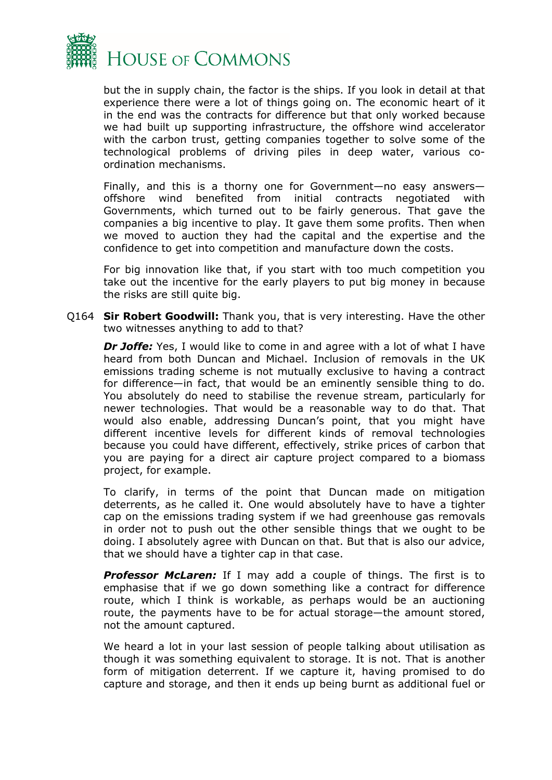

but the in supply chain, the factor is the ships. If you look in detail at that experience there were a lot of things going on. The economic heart of it in the end was the contracts for difference but that only worked because we had built up supporting infrastructure, the offshore wind accelerator with the carbon trust, getting companies together to solve some of the technological problems of driving piles in deep water, various coordination mechanisms.

Finally, and this is a thorny one for Government—no easy answers offshore wind benefited from initial contracts negotiated with Governments, which turned out to be fairly generous. That gave the companies a big incentive to play. It gave them some profits. Then when we moved to auction they had the capital and the expertise and the confidence to get into competition and manufacture down the costs.

For big innovation like that, if you start with too much competition you take out the incentive for the early players to put big money in because the risks are still quite big.

Q164 **Sir Robert Goodwill:** Thank you, that is very interesting. Have the other two witnesses anything to add to that?

**Dr Joffe:** Yes, I would like to come in and agree with a lot of what I have heard from both Duncan and Michael. Inclusion of removals in the UK emissions trading scheme is not mutually exclusive to having a contract for difference—in fact, that would be an eminently sensible thing to do. You absolutely do need to stabilise the revenue stream, particularly for newer technologies. That would be a reasonable way to do that. That would also enable, addressing Duncan's point, that you might have different incentive levels for different kinds of removal technologies because you could have different, effectively, strike prices of carbon that you are paying for a direct air capture project compared to a biomass project, for example.

To clarify, in terms of the point that Duncan made on mitigation deterrents, as he called it. One would absolutely have to have a tighter cap on the emissions trading system if we had greenhouse gas removals in order not to push out the other sensible things that we ought to be doing. I absolutely agree with Duncan on that. But that is also our advice, that we should have a tighter cap in that case.

**Professor McLaren:** If I may add a couple of things. The first is to emphasise that if we go down something like a contract for difference route, which I think is workable, as perhaps would be an auctioning route, the payments have to be for actual storage—the amount stored, not the amount captured.

We heard a lot in your last session of people talking about utilisation as though it was something equivalent to storage. It is not. That is another form of mitigation deterrent. If we capture it, having promised to do capture and storage, and then it ends up being burnt as additional fuel or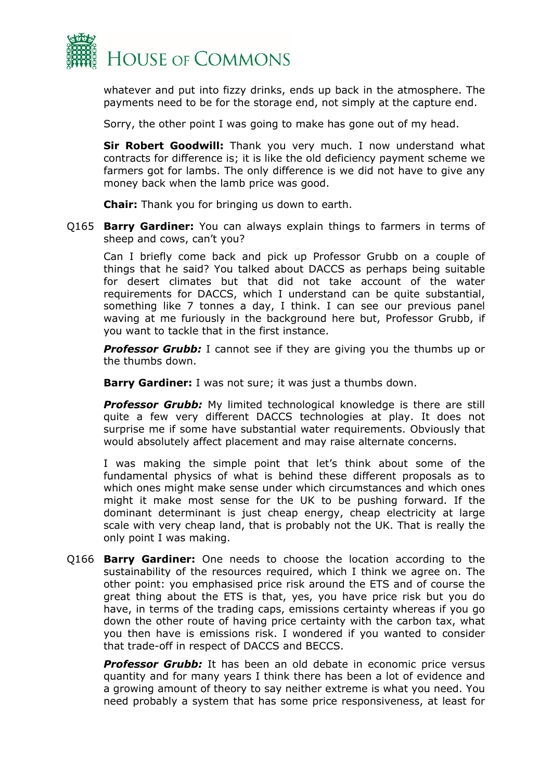

whatever and put into fizzy drinks, ends up back in the atmosphere. The payments need to be for the storage end, not simply at the capture end.

Sorry, the other point I was going to make has gone out of my head.

**Sir Robert Goodwill:** Thank you very much. I now understand what contracts for difference is; it is like the old deficiency payment scheme we farmers got for lambs. The only difference is we did not have to give any money back when the lamb price was good.

**Chair:** Thank you for bringing us down to earth.

Q165 **Barry Gardiner:** You can always explain things to farmers in terms of sheep and cows, can't you?

Can I briefly come back and pick up Professor Grubb on a couple of things that he said? You talked about DACCS as perhaps being suitable for desert climates but that did not take account of the water requirements for DACCS, which I understand can be quite substantial, something like 7 tonnes a day, I think. I can see our previous panel waving at me furiously in the background here but, Professor Grubb, if you want to tackle that in the first instance.

**Professor Grubb:** I cannot see if they are giving you the thumbs up or the thumbs down.

**Barry Gardiner:** I was not sure; it was just a thumbs down.

*Professor Grubb:* My limited technological knowledge is there are still quite a few very different DACCS technologies at play. It does not surprise me if some have substantial water requirements. Obviously that would absolutely affect placement and may raise alternate concerns.

I was making the simple point that let's think about some of the fundamental physics of what is behind these different proposals as to which ones might make sense under which circumstances and which ones might it make most sense for the UK to be pushing forward. If the dominant determinant is just cheap energy, cheap electricity at large scale with very cheap land, that is probably not the UK. That is really the only point I was making.

Q166 **Barry Gardiner:** One needs to choose the location according to the sustainability of the resources required, which I think we agree on. The other point: you emphasised price risk around the ETS and of course the great thing about the ETS is that, yes, you have price risk but you do have, in terms of the trading caps, emissions certainty whereas if you go down the other route of having price certainty with the carbon tax, what you then have is emissions risk. I wondered if you wanted to consider that trade-off in respect of DACCS and BECCS.

*Professor Grubb:* It has been an old debate in economic price versus quantity and for many years I think there has been a lot of evidence and a growing amount of theory to say neither extreme is what you need. You need probably a system that has some price responsiveness, at least for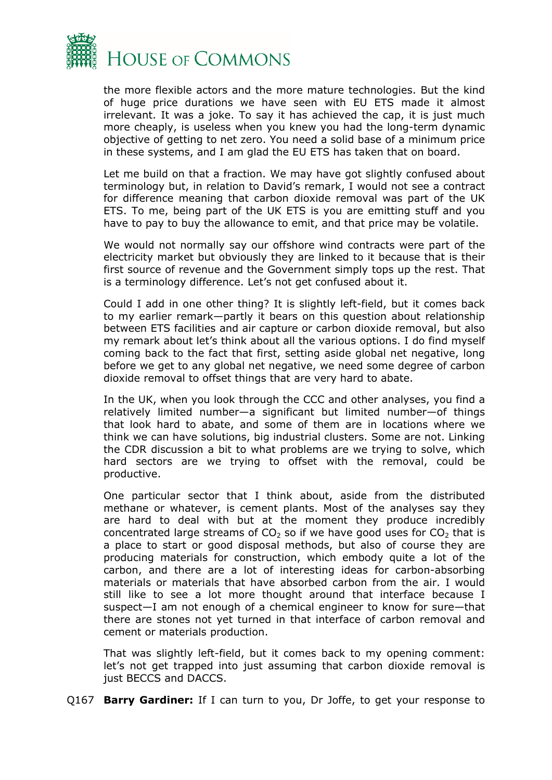

the more flexible actors and the more mature technologies. But the kind of huge price durations we have seen with EU ETS made it almost irrelevant. It was a joke. To say it has achieved the cap, it is just much more cheaply, is useless when you knew you had the long-term dynamic objective of getting to net zero. You need a solid base of a minimum price in these systems, and I am glad the EU ETS has taken that on board.

Let me build on that a fraction. We may have got slightly confused about terminology but, in relation to David's remark, I would not see a contract for difference meaning that carbon dioxide removal was part of the UK ETS. To me, being part of the UK ETS is you are emitting stuff and you have to pay to buy the allowance to emit, and that price may be volatile.

We would not normally say our offshore wind contracts were part of the electricity market but obviously they are linked to it because that is their first source of revenue and the Government simply tops up the rest. That is a terminology difference. Let's not get confused about it.

Could I add in one other thing? It is slightly left-field, but it comes back to my earlier remark—partly it bears on this question about relationship between ETS facilities and air capture or carbon dioxide removal, but also my remark about let's think about all the various options. I do find myself coming back to the fact that first, setting aside global net negative, long before we get to any global net negative, we need some degree of carbon dioxide removal to offset things that are very hard to abate.

In the UK, when you look through the CCC and other analyses, you find a relatively limited number—a significant but limited number—of things that look hard to abate, and some of them are in locations where we think we can have solutions, big industrial clusters. Some are not. Linking the CDR discussion a bit to what problems are we trying to solve, which hard sectors are we trying to offset with the removal, could be productive.

One particular sector that I think about, aside from the distributed methane or whatever, is cement plants. Most of the analyses say they are hard to deal with but at the moment they produce incredibly concentrated large streams of  $CO<sub>2</sub>$  so if we have good uses for  $CO<sub>2</sub>$  that is a place to start or good disposal methods, but also of course they are producing materials for construction, which embody quite a lot of the carbon, and there are a lot of interesting ideas for carbon-absorbing materials or materials that have absorbed carbon from the air. I would still like to see a lot more thought around that interface because I suspect—I am not enough of a chemical engineer to know for sure—that there are stones not yet turned in that interface of carbon removal and cement or materials production.

That was slightly left-field, but it comes back to my opening comment: let's not get trapped into just assuming that carbon dioxide removal is just BECCS and DACCS.

Q167 **Barry Gardiner:** If I can turn to you, Dr Joffe, to get your response to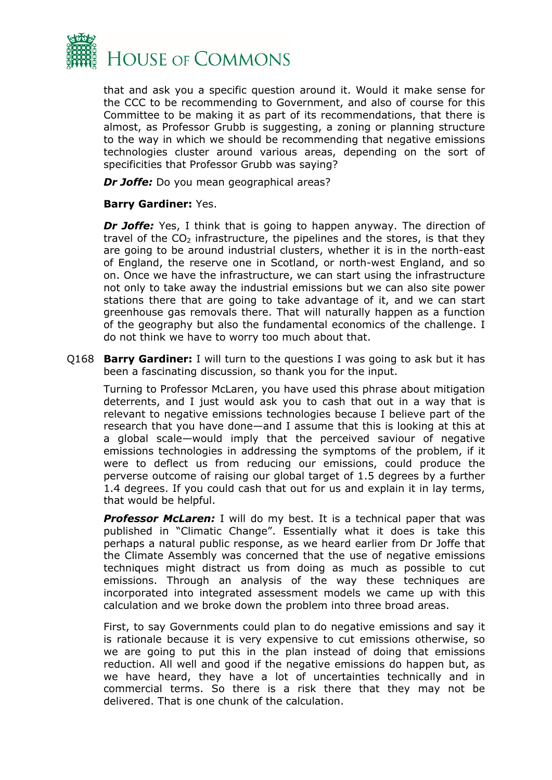

that and ask you a specific question around it. Would it make sense for the CCC to be recommending to Government, and also of course for this Committee to be making it as part of its recommendations, that there is almost, as Professor Grubb is suggesting, a zoning or planning structure to the way in which we should be recommending that negative emissions technologies cluster around various areas, depending on the sort of specificities that Professor Grubb was saying?

*Dr Joffe:* Do you mean geographical areas?

#### **Barry Gardiner:** Yes.

*Dr Joffe:* Yes, I think that is going to happen anyway. The direction of travel of the  $CO<sub>2</sub>$  infrastructure, the pipelines and the stores, is that they are going to be around industrial clusters, whether it is in the north-east of England, the reserve one in Scotland, or north-west England, and so on. Once we have the infrastructure, we can start using the infrastructure not only to take away the industrial emissions but we can also site power stations there that are going to take advantage of it, and we can start greenhouse gas removals there. That will naturally happen as a function of the geography but also the fundamental economics of the challenge. I do not think we have to worry too much about that.

Q168 **Barry Gardiner:** I will turn to the questions I was going to ask but it has been a fascinating discussion, so thank you for the input.

Turning to Professor McLaren, you have used this phrase about mitigation deterrents, and I just would ask you to cash that out in a way that is relevant to negative emissions technologies because I believe part of the research that you have done—and I assume that this is looking at this at a global scale—would imply that the perceived saviour of negative emissions technologies in addressing the symptoms of the problem, if it were to deflect us from reducing our emissions, could produce the perverse outcome of raising our global target of 1.5 degrees by a further 1.4 degrees. If you could cash that out for us and explain it in lay terms, that would be helpful.

**Professor McLaren:** I will do my best. It is a technical paper that was published in "Climatic Change". Essentially what it does is take this perhaps a natural public response, as we heard earlier from Dr Joffe that the Climate Assembly was concerned that the use of negative emissions techniques might distract us from doing as much as possible to cut emissions. Through an analysis of the way these techniques are incorporated into integrated assessment models we came up with this calculation and we broke down the problem into three broad areas.

First, to say Governments could plan to do negative emissions and say it is rationale because it is very expensive to cut emissions otherwise, so we are going to put this in the plan instead of doing that emissions reduction. All well and good if the negative emissions do happen but, as we have heard, they have a lot of uncertainties technically and in commercial terms. So there is a risk there that they may not be delivered. That is one chunk of the calculation.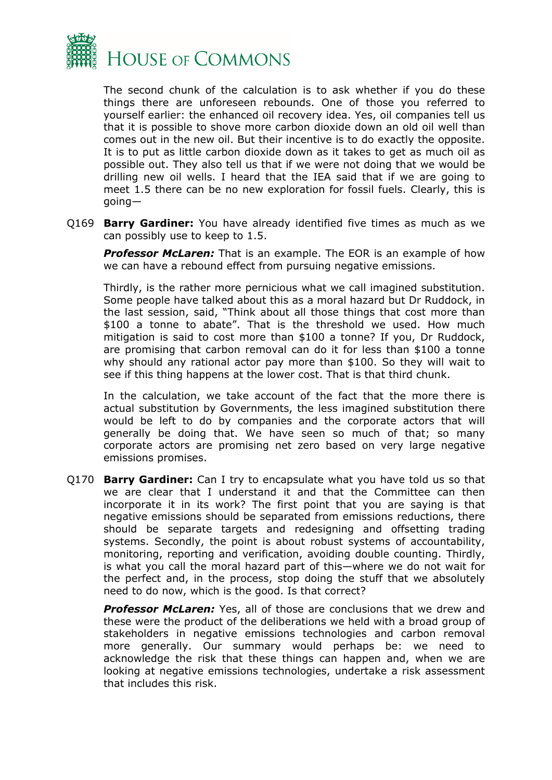

The second chunk of the calculation is to ask whether if you do these things there are unforeseen rebounds. One of those you referred to yourself earlier: the enhanced oil recovery idea. Yes, oil companies tell us that it is possible to shove more carbon dioxide down an old oil well than comes out in the new oil. But their incentive is to do exactly the opposite. It is to put as little carbon dioxide down as it takes to get as much oil as possible out. They also tell us that if we were not doing that we would be drilling new oil wells. I heard that the IEA said that if we are going to meet 1.5 there can be no new exploration for fossil fuels. Clearly, this is going—

Q169 **Barry Gardiner:** You have already identified five times as much as we can possibly use to keep to 1.5.

**Professor McLaren:** That is an example. The EOR is an example of how we can have a rebound effect from pursuing negative emissions.

Thirdly, is the rather more pernicious what we call imagined substitution. Some people have talked about this as a moral hazard but Dr Ruddock, in the last session, said, "Think about all those things that cost more than \$100 a tonne to abate". That is the threshold we used. How much mitigation is said to cost more than \$100 a tonne? If you, Dr Ruddock, are promising that carbon removal can do it for less than \$100 a tonne why should any rational actor pay more than \$100. So they will wait to see if this thing happens at the lower cost. That is that third chunk.

In the calculation, we take account of the fact that the more there is actual substitution by Governments, the less imagined substitution there would be left to do by companies and the corporate actors that will generally be doing that. We have seen so much of that; so many corporate actors are promising net zero based on very large negative emissions promises.

Q170 **Barry Gardiner:** Can I try to encapsulate what you have told us so that we are clear that I understand it and that the Committee can then incorporate it in its work? The first point that you are saying is that negative emissions should be separated from emissions reductions, there should be separate targets and redesigning and offsetting trading systems. Secondly, the point is about robust systems of accountability, monitoring, reporting and verification, avoiding double counting. Thirdly, is what you call the moral hazard part of this—where we do not wait for the perfect and, in the process, stop doing the stuff that we absolutely need to do now, which is the good. Is that correct?

*Professor McLaren:* Yes, all of those are conclusions that we drew and these were the product of the deliberations we held with a broad group of stakeholders in negative emissions technologies and carbon removal more generally. Our summary would perhaps be: we need to acknowledge the risk that these things can happen and, when we are looking at negative emissions technologies, undertake a risk assessment that includes this risk.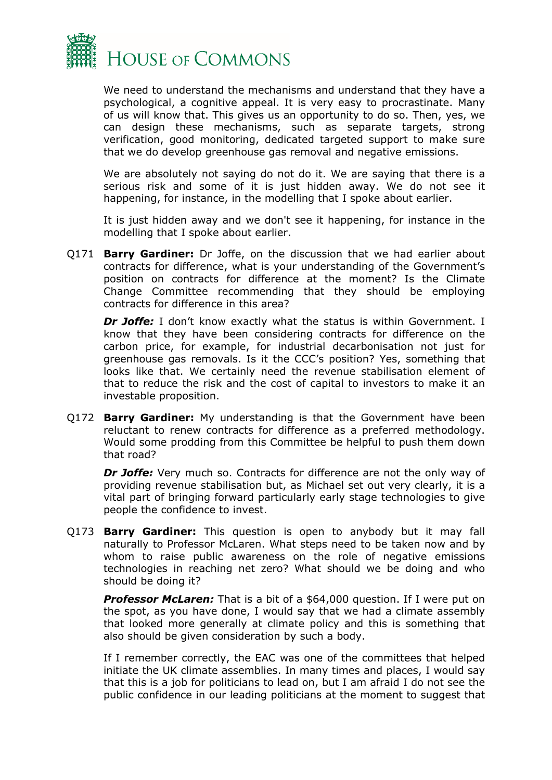

We need to understand the mechanisms and understand that they have a psychological, a cognitive appeal. It is very easy to procrastinate. Many of us will know that. This gives us an opportunity to do so. Then, yes, we can design these mechanisms, such as separate targets, strong verification, good monitoring, dedicated targeted support to make sure that we do develop greenhouse gas removal and negative emissions.

We are absolutely not saying do not do it. We are saying that there is a serious risk and some of it is just hidden away. We do not see it happening, for instance, in the modelling that I spoke about earlier.

It is just hidden away and we don't see it happening, for instance in the modelling that I spoke about earlier.

Q171 **Barry Gardiner:** Dr Joffe, on the discussion that we had earlier about contracts for difference, what is your understanding of the Government's position on contracts for difference at the moment? Is the Climate Change Committee recommending that they should be employing contracts for difference in this area?

*Dr Joffe:* I don't know exactly what the status is within Government. I know that they have been considering contracts for difference on the carbon price, for example, for industrial decarbonisation not just for greenhouse gas removals. Is it the CCC's position? Yes, something that looks like that. We certainly need the revenue stabilisation element of that to reduce the risk and the cost of capital to investors to make it an investable proposition.

Q172 **Barry Gardiner:** My understanding is that the Government have been reluctant to renew contracts for difference as a preferred methodology. Would some prodding from this Committee be helpful to push them down that road?

*Dr Joffe:* Very much so. Contracts for difference are not the only way of providing revenue stabilisation but, as Michael set out very clearly, it is a vital part of bringing forward particularly early stage technologies to give people the confidence to invest.

Q173 **Barry Gardiner:** This question is open to anybody but it may fall naturally to Professor McLaren. What steps need to be taken now and by whom to raise public awareness on the role of negative emissions technologies in reaching net zero? What should we be doing and who should be doing it?

*Professor McLaren:* That is a bit of a \$64,000 question. If I were put on the spot, as you have done, I would say that we had a climate assembly that looked more generally at climate policy and this is something that also should be given consideration by such a body.

If I remember correctly, the EAC was one of the committees that helped initiate the UK climate assemblies. In many times and places, I would say that this is a job for politicians to lead on, but I am afraid I do not see the public confidence in our leading politicians at the moment to suggest that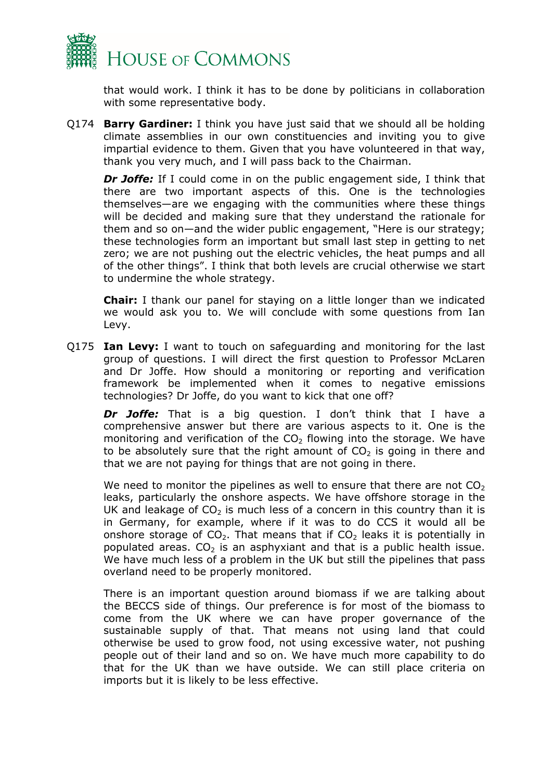

that would work. I think it has to be done by politicians in collaboration with some representative body.

Q174 **Barry Gardiner:** I think you have just said that we should all be holding climate assemblies in our own constituencies and inviting you to give impartial evidence to them. Given that you have volunteered in that way, thank you very much, and I will pass back to the Chairman.

*Dr Joffe:* If I could come in on the public engagement side, I think that there are two important aspects of this. One is the technologies themselves—are we engaging with the communities where these things will be decided and making sure that they understand the rationale for them and so on—and the wider public engagement, "Here is our strategy; these technologies form an important but small last step in getting to net zero; we are not pushing out the electric vehicles, the heat pumps and all of the other things". I think that both levels are crucial otherwise we start to undermine the whole strategy.

**Chair:** I thank our panel for staying on a little longer than we indicated we would ask you to. We will conclude with some questions from Ian Levy.

Q175 **Ian Levy:** I want to touch on safeguarding and monitoring for the last group of questions. I will direct the first question to Professor McLaren and Dr Joffe. How should a monitoring or reporting and verification framework be implemented when it comes to negative emissions technologies? Dr Joffe, do you want to kick that one off?

*Dr Joffe:* That is a big question. I don't think that I have a comprehensive answer but there are various aspects to it. One is the monitoring and verification of the  $CO<sub>2</sub>$  flowing into the storage. We have to be absolutely sure that the right amount of  $CO<sub>2</sub>$  is going in there and that we are not paying for things that are not going in there.

We need to monitor the pipelines as well to ensure that there are not  $CO<sub>2</sub>$ leaks, particularly the onshore aspects. We have offshore storage in the UK and leakage of  $CO<sub>2</sub>$  is much less of a concern in this country than it is in Germany, for example, where if it was to do CCS it would all be onshore storage of  $CO<sub>2</sub>$ . That means that if  $CO<sub>2</sub>$  leaks it is potentially in populated areas.  $CO<sub>2</sub>$  is an asphyxiant and that is a public health issue. We have much less of a problem in the UK but still the pipelines that pass overland need to be properly monitored.

There is an important question around biomass if we are talking about the BECCS side of things. Our preference is for most of the biomass to come from the UK where we can have proper governance of the sustainable supply of that. That means not using land that could otherwise be used to grow food, not using excessive water, not pushing people out of their land and so on. We have much more capability to do that for the UK than we have outside. We can still place criteria on imports but it is likely to be less effective.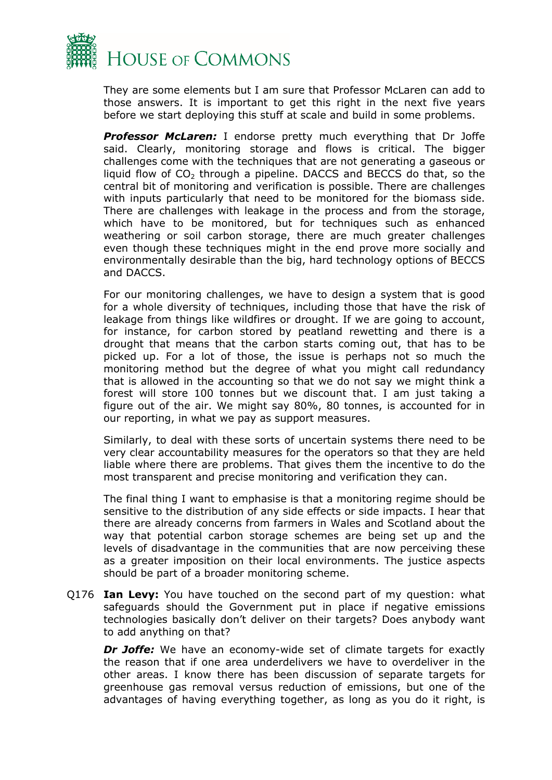

They are some elements but I am sure that Professor McLaren can add to those answers. It is important to get this right in the next five years before we start deploying this stuff at scale and build in some problems.

**Professor McLaren:** I endorse pretty much everything that Dr Joffe said. Clearly, monitoring storage and flows is critical. The bigger challenges come with the techniques that are not generating a gaseous or liquid flow of  $CO<sub>2</sub>$  through a pipeline. DACCS and BECCS do that, so the central bit of monitoring and verification is possible. There are challenges with inputs particularly that need to be monitored for the biomass side. There are challenges with leakage in the process and from the storage, which have to be monitored, but for techniques such as enhanced weathering or soil carbon storage, there are much greater challenges even though these techniques might in the end prove more socially and environmentally desirable than the big, hard technology options of BECCS and DACCS.

For our monitoring challenges, we have to design a system that is good for a whole diversity of techniques, including those that have the risk of leakage from things like wildfires or drought. If we are going to account, for instance, for carbon stored by peatland rewetting and there is a drought that means that the carbon starts coming out, that has to be picked up. For a lot of those, the issue is perhaps not so much the monitoring method but the degree of what you might call redundancy that is allowed in the accounting so that we do not say we might think a forest will store 100 tonnes but we discount that. I am just taking a figure out of the air. We might say 80%, 80 tonnes, is accounted for in our reporting, in what we pay as support measures.

Similarly, to deal with these sorts of uncertain systems there need to be very clear accountability measures for the operators so that they are held liable where there are problems. That gives them the incentive to do the most transparent and precise monitoring and verification they can.

The final thing I want to emphasise is that a monitoring regime should be sensitive to the distribution of any side effects or side impacts. I hear that there are already concerns from farmers in Wales and Scotland about the way that potential carbon storage schemes are being set up and the levels of disadvantage in the communities that are now perceiving these as a greater imposition on their local environments. The justice aspects should be part of a broader monitoring scheme.

Q176 **Ian Levy:** You have touched on the second part of my question: what safeguards should the Government put in place if negative emissions technologies basically don't deliver on their targets? Does anybody want to add anything on that?

**Dr Joffe:** We have an economy-wide set of climate targets for exactly the reason that if one area underdelivers we have to overdeliver in the other areas. I know there has been discussion of separate targets for greenhouse gas removal versus reduction of emissions, but one of the advantages of having everything together, as long as you do it right, is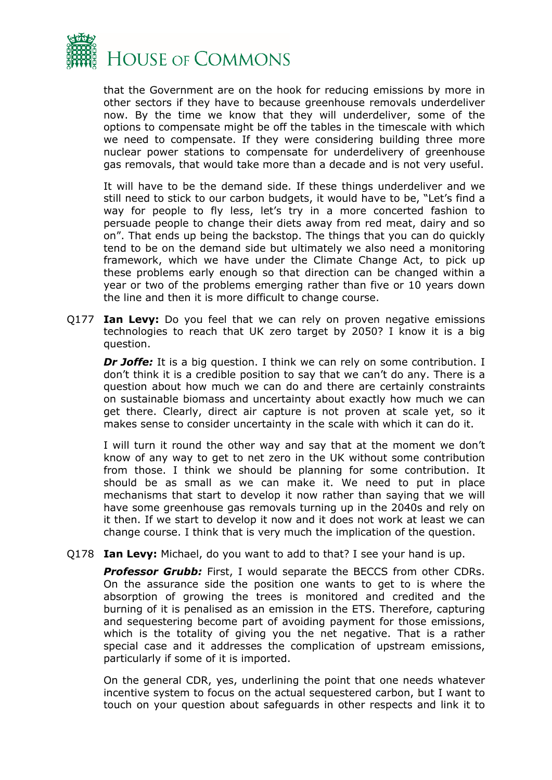

that the Government are on the hook for reducing emissions by more in other sectors if they have to because greenhouse removals underdeliver now. By the time we know that they will underdeliver, some of the options to compensate might be off the tables in the timescale with which we need to compensate. If they were considering building three more nuclear power stations to compensate for underdelivery of greenhouse gas removals, that would take more than a decade and is not very useful.

It will have to be the demand side. If these things underdeliver and we still need to stick to our carbon budgets, it would have to be, "Let's find a way for people to fly less, let's try in a more concerted fashion to persuade people to change their diets away from red meat, dairy and so on". That ends up being the backstop. The things that you can do quickly tend to be on the demand side but ultimately we also need a monitoring framework, which we have under the Climate Change Act, to pick up these problems early enough so that direction can be changed within a year or two of the problems emerging rather than five or 10 years down the line and then it is more difficult to change course.

Q177 **Ian Levy:** Do you feel that we can rely on proven negative emissions technologies to reach that UK zero target by 2050? I know it is a big question.

*Dr Joffe:* It is a big question. I think we can rely on some contribution. I don't think it is a credible position to say that we can't do any. There is a question about how much we can do and there are certainly constraints on sustainable biomass and uncertainty about exactly how much we can get there. Clearly, direct air capture is not proven at scale yet, so it makes sense to consider uncertainty in the scale with which it can do it.

I will turn it round the other way and say that at the moment we don't know of any way to get to net zero in the UK without some contribution from those. I think we should be planning for some contribution. It should be as small as we can make it. We need to put in place mechanisms that start to develop it now rather than saying that we will have some greenhouse gas removals turning up in the 2040s and rely on it then. If we start to develop it now and it does not work at least we can change course. I think that is very much the implication of the question.

Q178 **Ian Levy:** Michael, do you want to add to that? I see your hand is up.

**Professor Grubb:** First, I would separate the BECCS from other CDRs. On the assurance side the position one wants to get to is where the absorption of growing the trees is monitored and credited and the burning of it is penalised as an emission in the ETS. Therefore, capturing and sequestering become part of avoiding payment for those emissions, which is the totality of giving you the net negative. That is a rather special case and it addresses the complication of upstream emissions, particularly if some of it is imported.

On the general CDR, yes, underlining the point that one needs whatever incentive system to focus on the actual sequestered carbon, but I want to touch on your question about safeguards in other respects and link it to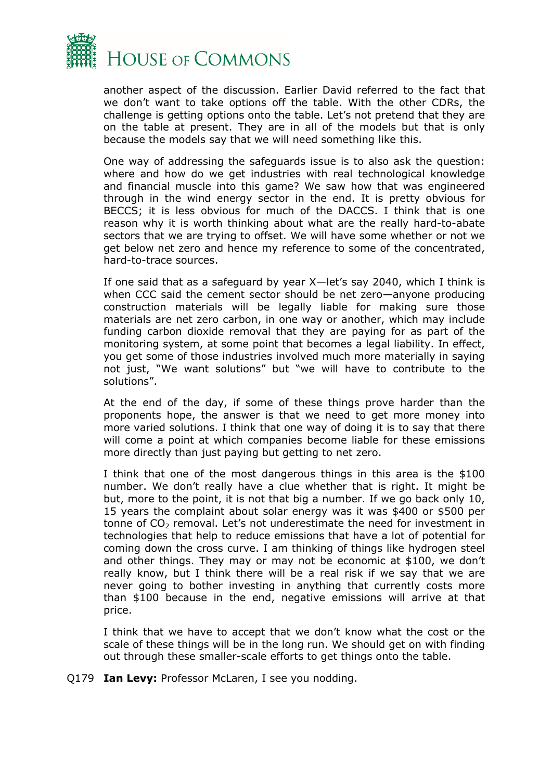

another aspect of the discussion. Earlier David referred to the fact that we don't want to take options off the table. With the other CDRs, the challenge is getting options onto the table. Let's not pretend that they are on the table at present. They are in all of the models but that is only because the models say that we will need something like this.

One way of addressing the safeguards issue is to also ask the question: where and how do we get industries with real technological knowledge and financial muscle into this game? We saw how that was engineered through in the wind energy sector in the end. It is pretty obvious for BECCS; it is less obvious for much of the DACCS. I think that is one reason why it is worth thinking about what are the really hard-to-abate sectors that we are trying to offset. We will have some whether or not we get below net zero and hence my reference to some of the concentrated, hard-to-trace sources.

If one said that as a safeguard by year X—let's say 2040, which I think is when CCC said the cement sector should be net zero—anyone producing construction materials will be legally liable for making sure those materials are net zero carbon, in one way or another, which may include funding carbon dioxide removal that they are paying for as part of the monitoring system, at some point that becomes a legal liability. In effect, you get some of those industries involved much more materially in saying not just, "We want solutions" but "we will have to contribute to the solutions".

At the end of the day, if some of these things prove harder than the proponents hope, the answer is that we need to get more money into more varied solutions. I think that one way of doing it is to say that there will come a point at which companies become liable for these emissions more directly than just paying but getting to net zero.

I think that one of the most dangerous things in this area is the \$100 number. We don't really have a clue whether that is right. It might be but, more to the point, it is not that big a number. If we go back only 10, 15 years the complaint about solar energy was it was \$400 or \$500 per tonne of  $CO<sub>2</sub>$  removal. Let's not underestimate the need for investment in technologies that help to reduce emissions that have a lot of potential for coming down the cross curve. I am thinking of things like hydrogen steel and other things. They may or may not be economic at \$100, we don't really know, but I think there will be a real risk if we say that we are never going to bother investing in anything that currently costs more than \$100 because in the end, negative emissions will arrive at that price.

I think that we have to accept that we don't know what the cost or the scale of these things will be in the long run. We should get on with finding out through these smaller-scale efforts to get things onto the table.

Q179 **Ian Levy:** Professor McLaren, I see you nodding.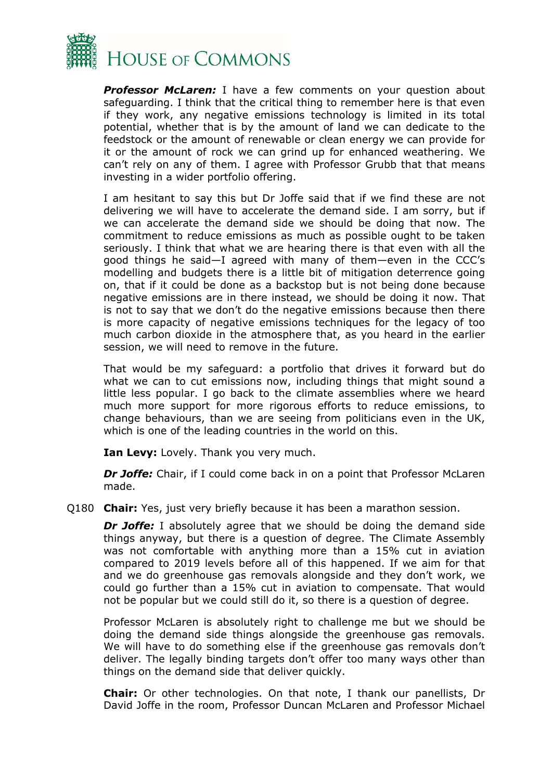

*Professor McLaren:* I have a few comments on your question about safeguarding. I think that the critical thing to remember here is that even if they work, any negative emissions technology is limited in its total potential, whether that is by the amount of land we can dedicate to the feedstock or the amount of renewable or clean energy we can provide for it or the amount of rock we can grind up for enhanced weathering. We can't rely on any of them. I agree with Professor Grubb that that means investing in a wider portfolio offering.

I am hesitant to say this but Dr Joffe said that if we find these are not delivering we will have to accelerate the demand side. I am sorry, but if we can accelerate the demand side we should be doing that now. The commitment to reduce emissions as much as possible ought to be taken seriously. I think that what we are hearing there is that even with all the good things he said—I agreed with many of them—even in the CCC's modelling and budgets there is a little bit of mitigation deterrence going on, that if it could be done as a backstop but is not being done because negative emissions are in there instead, we should be doing it now. That is not to say that we don't do the negative emissions because then there is more capacity of negative emissions techniques for the legacy of too much carbon dioxide in the atmosphere that, as you heard in the earlier session, we will need to remove in the future.

That would be my safeguard: a portfolio that drives it forward but do what we can to cut emissions now, including things that might sound a little less popular. I go back to the climate assemblies where we heard much more support for more rigorous efforts to reduce emissions, to change behaviours, than we are seeing from politicians even in the UK, which is one of the leading countries in the world on this.

**Ian Levy:** Lovely. Thank you very much.

*Dr Joffe:* Chair, if I could come back in on a point that Professor McLaren made.

Q180 **Chair:** Yes, just very briefly because it has been a marathon session.

*Dr Joffe:* I absolutely agree that we should be doing the demand side things anyway, but there is a question of degree. The Climate Assembly was not comfortable with anything more than a 15% cut in aviation compared to 2019 levels before all of this happened. If we aim for that and we do greenhouse gas removals alongside and they don't work, we could go further than a 15% cut in aviation to compensate. That would not be popular but we could still do it, so there is a question of degree.

Professor McLaren is absolutely right to challenge me but we should be doing the demand side things alongside the greenhouse gas removals. We will have to do something else if the greenhouse gas removals don't deliver. The legally binding targets don't offer too many ways other than things on the demand side that deliver quickly.

**Chair:** Or other technologies. On that note, I thank our panellists, Dr David Joffe in the room, Professor Duncan McLaren and Professor Michael